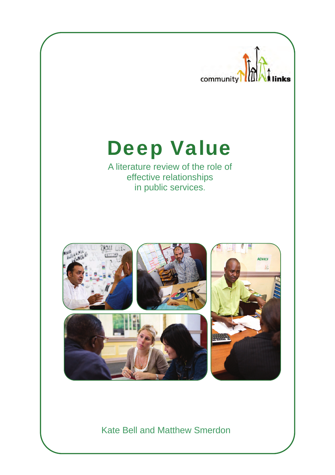

Kate Bell and Matthew Smerdon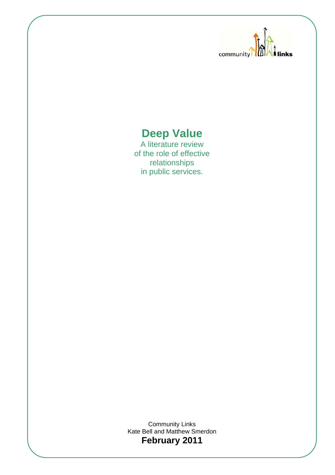

## **Deep Value**

A literature review of the role of effective relationships in public services.

Community Links Kate Bell and Matthew Smerdon **February 2011**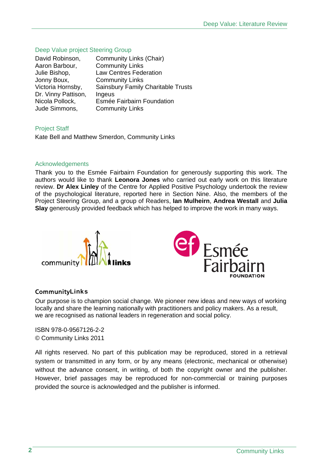### Deep Value project Steering Group

| David Robinson,     | <b>Community Links (Chair)</b>            |
|---------------------|-------------------------------------------|
| Aaron Barbour,      | <b>Community Links</b>                    |
| Julie Bishop,       | <b>Law Centres Federation</b>             |
| Jonny Boux,         | <b>Community Links</b>                    |
| Victoria Hornsby,   | <b>Sainsbury Family Charitable Trusts</b> |
| Dr. Vinny Pattison, | Ingeus                                    |
| Nicola Pollock,     | Esmée Fairbairn Foundation                |
| Jude Simmons,       | <b>Community Links</b>                    |

Project Staff Kate Bell and Matthew Smerdon, Community Links

### Acknowledgements

Thank you to the Esmée Fairbairn Foundation for generously supporting this work. The authors would like to thank **Leonora Jones** who carried out early work on this literature review. **Dr Alex Linley** of the Centre for Applied Positive Psychology undertook the review of the psychological literature, reported here in Section Nine. Also, the members of the Project Steering Group, and a group of Readers, **Ian Mulheirn**, **Andrea Westall** and **Julia Slay** generously provided feedback which has helped to improve the work in many ways.





### CommunityLinks

Our purpose is to champion social change. We pioneer new ideas and new ways of working locally and share the learning nationally with practitioners and policy makers. As a result, we are recognised as national leaders in regeneration and social policy.

ISBN 978-0-9567126-2-2 © Community Links 2011

All rights reserved. No part of this publication may be reproduced, stored in a retrieval system or transmitted in any form, or by any means (electronic, mechanical or otherwise) without the advance consent, in writing, of both the copyright owner and the publisher. However, brief passages may be reproduced for non-commercial or training purposes provided the source is acknowledged and the publisher is informed.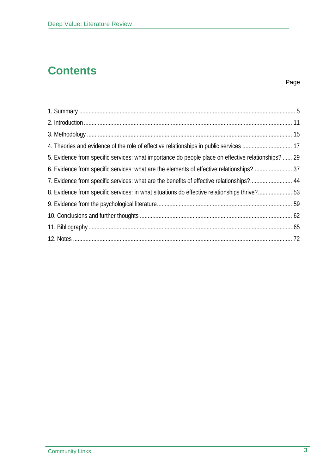# **Contents**

### Page

| 5. Evidence from specific services: what importance do people place on effective relationships?  29 |  |
|-----------------------------------------------------------------------------------------------------|--|
|                                                                                                     |  |
| 7. Evidence from specific services: what are the benefits of effective relationships? 44            |  |
| 8. Evidence from specific services: in what situations do effective relationships thrive? 53        |  |
|                                                                                                     |  |
|                                                                                                     |  |
|                                                                                                     |  |
|                                                                                                     |  |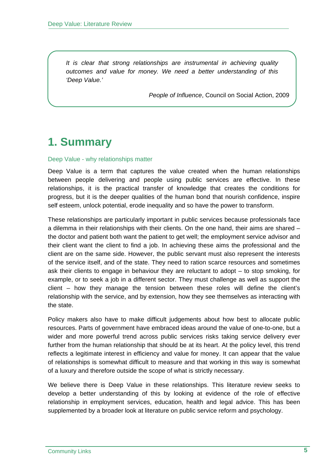*It is clear that strong relationships are instrumental in achieving quality outcomes and value for money. We need a better understanding of this 'Deep Value.'* 

*People of Influence*, Council on Social Action, 2009

### **1. Summary**

#### Deep Value - why relationships matter

Deep Value is a term that captures the value created when the human relationships between people delivering and people using public services are effective. In these relationships, it is the practical transfer of knowledge that creates the conditions for progress, but it is the deeper qualities of the human bond that nourish confidence, inspire self esteem, unlock potential, erode inequality and so have the power to transform.

These relationships are particularly important in public services because professionals face a dilemma in their relationships with their clients. On the one hand, their aims are shared – the doctor and patient both want the patient to get well; the employment service advisor and their client want the client to find a job. In achieving these aims the professional and the client are on the same side. However, the public servant must also represent the interests of the service itself, and of the state. They need to ration scarce resources and sometimes ask their clients to engage in behaviour they are reluctant to adopt – to stop smoking, for example, or to seek a job in a different sector. They must challenge as well as support the client – how they manage the tension between these roles will define the client's relationship with the service, and by extension, how they see themselves as interacting with the state.

Policy makers also have to make difficult judgements about how best to allocate public resources. Parts of government have embraced ideas around the value of one-to-one, but a wider and more powerful trend across public services risks taking service delivery ever further from the human relationship that should be at its heart. At the policy level, this trend reflects a legitimate interest in efficiency and value for money. It can appear that the value of relationships is somewhat difficult to measure and that working in this way is somewhat of a luxury and therefore outside the scope of what is strictly necessary.

We believe there is Deep Value in these relationships. This literature review seeks to develop a better understanding of this by looking at evidence of the role of effective relationship in employment services, education, health and legal advice. This has been supplemented by a broader look at literature on public service reform and psychology.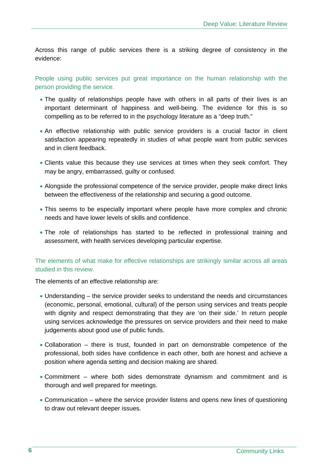Across this range of public services there is a striking degree of consistency in the evidence:

People using public services put great importance on the human relationship with the person providing the service.

- The quality of relationships people have with others in all parts of their lives is an important determinant of happiness and well-being. The evidence for this is so compelling as to be referred to in the psychology literature as a "deep truth."
- An effective relationship with public service providers is a crucial factor in client satisfaction appearing repeatedly in studies of what people want from public services and in client feedback.
- Clients value this because they use services at times when they seek comfort. They may be angry, embarrassed, guilty or confused.
- Alongside the professional competence of the service provider, people make direct links between the effectiveness of the relationship and securing a good outcome.
- This seems to be especially important where people have more complex and chronic needs and have lower levels of skills and confidence.
- The role of relationships has started to be reflected in professional training and assessment, with health services developing particular expertise.

The elements of what make for effective relationships are strikingly similar across all areas studied in this review.

The elements of an effective relationship are:

- Understanding the service provider seeks to understand the needs and circumstances (economic, personal, emotional, cultural) of the person using services and treats people with dignity and respect demonstrating that they are 'on their side.' In return people using services acknowledge the pressures on service providers and their need to make judgements about good use of public funds.
- Collaboration there is trust, founded in part on demonstrable competence of the professional, both sides have confidence in each other, both are honest and achieve a position where agenda setting and decision making are shared.
- Commitment where both sides demonstrate dynamism and commitment and is thorough and well prepared for meetings.
- Communication where the service provider listens and opens new lines of questioning to draw out relevant deeper issues.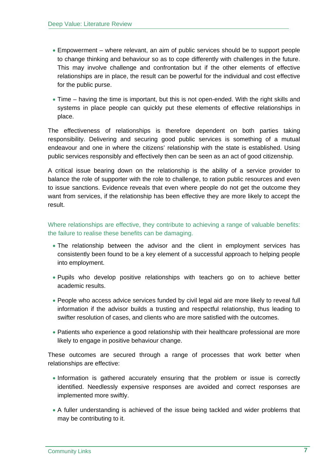- Empowerment where relevant, an aim of public services should be to support people to change thinking and behaviour so as to cope differently with challenges in the future. This may involve challenge and confrontation but if the other elements of effective relationships are in place, the result can be powerful for the individual and cost effective for the public purse.
- Time having the time is important, but this is not open-ended. With the right skills and systems in place people can quickly put these elements of effective relationships in place.

The effectiveness of relationships is therefore dependent on both parties taking responsibility. Delivering and securing good public services is something of a mutual endeavour and one in where the citizens' relationship with the state is established. Using public services responsibly and effectively then can be seen as an act of good citizenship.

A critical issue bearing down on the relationship is the ability of a service provider to balance the role of supporter with the role to challenge, to ration public resources and even to issue sanctions. Evidence reveals that even where people do not get the outcome they want from services, if the relationship has been effective they are more likely to accept the result.

Where relationships are effective, they contribute to achieving a range of valuable benefits: the failure to realise these benefits can be damaging.

- The relationship between the advisor and the client in employment services has consistently been found to be a key element of a successful approach to helping people into employment.
- Pupils who develop positive relationships with teachers go on to achieve better academic results.
- People who access advice services funded by civil legal aid are more likely to reveal full information if the advisor builds a trusting and respectful relationship, thus leading to swifter resolution of cases, and clients who are more satisfied with the outcomes.
- Patients who experience a good relationship with their healthcare professional are more likely to engage in positive behaviour change.

These outcomes are secured through a range of processes that work better when relationships are effective:

- Information is gathered accurately ensuring that the problem or issue is correctly identified. Needlessly expensive responses are avoided and correct responses are implemented more swiftly.
- A fuller understanding is achieved of the issue being tackled and wider problems that may be contributing to it.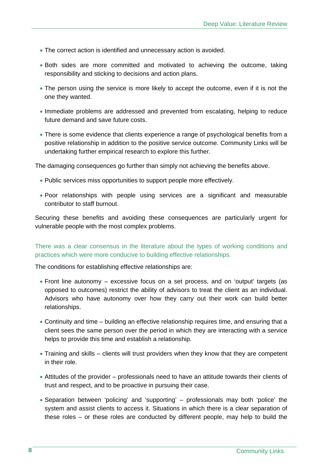- The correct action is identified and unnecessary action is avoided.
- Both sides are more committed and motivated to achieving the outcome, taking responsibility and sticking to decisions and action plans.
- The person using the service is more likely to accept the outcome, even if it is not the one they wanted.
- Immediate problems are addressed and prevented from escalating, helping to reduce future demand and save future costs.
- There is some evidence that clients experience a range of psychological benefits from a positive relationship in addition to the positive service outcome. Community Links will be undertaking further empirical research to explore this further.

The damaging consequences go further than simply not achieving the benefits above.

- Public services miss opportunities to support people more effectively.
- Poor relationships with people using services are a significant and measurable contributor to staff burnout.

Securing these benefits and avoiding these consequences are particularly urgent for vulnerable people with the most complex problems.

There was a clear consensus in the literature about the types of working conditions and practices which were more conducive to building effective relationships.

The conditions for establishing effective relationships are:

- Front line autonomy excessive focus on a set process, and on 'output' targets (as opposed to outcomes) restrict the ability of advisors to treat the client as an individual. Advisors who have autonomy over how they carry out their work can build better relationships.
- Continuity and time building an effective relationship requires time, and ensuring that a client sees the same person over the period in which they are interacting with a service helps to provide this time and establish a relationship.
- Training and skills clients will trust providers when they know that they are competent in their role.
- Attitudes of the provider professionals need to have an attitude towards their clients of trust and respect, and to be proactive in pursuing their case.
- Separation between 'policing' and 'supporting' professionals may both 'police' the system and assist clients to access it. Situations in which there is a clear separation of these roles – or these roles are conducted by different people, may help to build the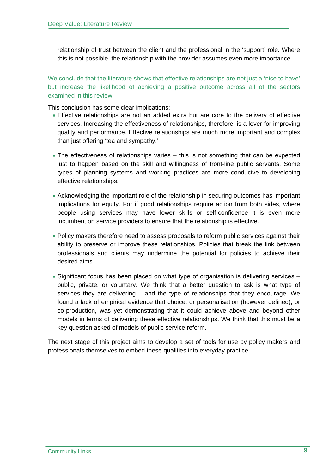relationship of trust between the client and the professional in the 'support' role. Where this is not possible, the relationship with the provider assumes even more importance.

We conclude that the literature shows that effective relationships are not just a 'nice to have' but increase the likelihood of achieving a positive outcome across all of the sectors examined in this review.

This conclusion has some clear implications:

- Effective relationships are not an added extra but are core to the delivery of effective services. Increasing the effectiveness of relationships, therefore, is a lever for improving quality and performance. Effective relationships are much more important and complex than just offering 'tea and sympathy.'
- The effectiveness of relationships varies this is not something that can be expected just to happen based on the skill and willingness of front-line public servants. Some types of planning systems and working practices are more conducive to developing effective relationships.
- Acknowledging the important role of the relationship in securing outcomes has important implications for equity. For if good relationships require action from both sides, where people using services may have lower skills or self-confidence it is even more incumbent on service providers to ensure that the relationship is effective.
- Policy makers therefore need to assess proposals to reform public services against their ability to preserve or improve these relationships. Policies that break the link between professionals and clients may undermine the potential for policies to achieve their desired aims.
- Significant focus has been placed on what type of organisation is delivering services public, private, or voluntary. We think that a better question to ask is what type of services they are delivering – and the type of relationships that they encourage. We found a lack of empirical evidence that choice, or personalisation (however defined), or co-production, was yet demonstrating that it could achieve above and beyond other models in terms of delivering these effective relationships. We think that this must be a key question asked of models of public service reform.

The next stage of this project aims to develop a set of tools for use by policy makers and professionals themselves to embed these qualities into everyday practice.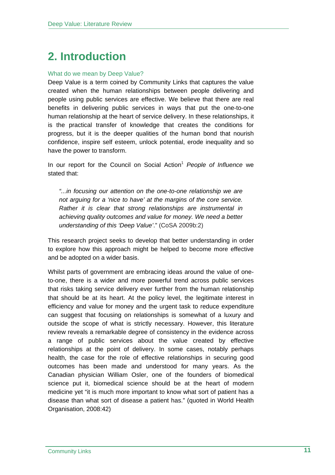# **2. Introduction**

### What do we mean by Deep Value?

Deep Value is a term coined by Community Links that captures the value created when the human relationships between people delivering and people using public services are effective. We believe that there are real benefits in delivering public services in ways that put the one-to-one human relationship at the heart of service delivery. In these relationships, it is the practical transfer of knowledge that creates the conditions for progress, but it is the deeper qualities of the human bond that nourish confidence, inspire self esteem, unlock potential, erode inequality and so have the power to transform.

In our report for the Council on Social Action<sup>1</sup> People of Influence we stated that:

*"...in focusing our attention on the one-to-one relationship we are not arguing for a 'nice to have' at the margins of the core service. Rather it is clear that strong relationships are instrumental in achieving quality outcomes and value for money. We need a better understanding of this 'Deep Value'*." (CoSA 2009b:2)

This research project seeks to develop that better understanding in order to explore how this approach might be helped to become more effective and be adopted on a wider basis.

Whilst parts of government are embracing ideas around the value of oneto-one, there is a wider and more powerful trend across public services that risks taking service delivery ever further from the human relationship that should be at its heart. At the policy level, the legitimate interest in efficiency and value for money and the urgent task to reduce expenditure can suggest that focusing on relationships is somewhat of a luxury and outside the scope of what is strictly necessary. However, this literature review reveals a remarkable degree of consistency in the evidence across a range of public services about the value created by effective relationships at the point of delivery. In some cases, notably perhaps health, the case for the role of effective relationships in securing good outcomes has been made and understood for many years. As the Canadian physician William Osler, one of the founders of biomedical science put it, biomedical science should be at the heart of modern medicine yet "it is much more important to know what sort of patient has a disease than what sort of disease a patient has." (quoted in World Health Organisation, 2008:42)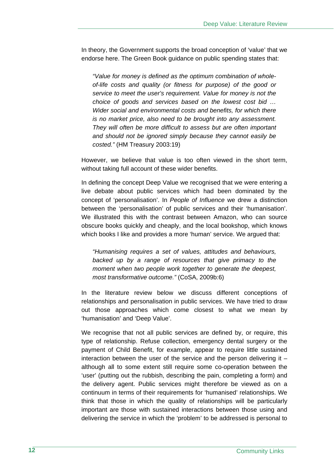In theory, the Government supports the broad conception of 'value' that we endorse here. The Green Book guidance on public spending states that:

*"Value for money is defined as the optimum combination of wholeof-life costs and quality (or fitness for purpose) of the good or service to meet the user's requirement. Value for money is not the choice of goods and services based on the lowest cost bid … Wider social and environmental costs and benefits, for which there is no market price, also need to be brought into any assessment. They will often be more difficult to assess but are often important and should not be ignored simply because they cannot easily be costed."* (HM Treasury 2003:19)

However, we believe that value is too often viewed in the short term, without taking full account of these wider benefits.

In defining the concept Deep Value we recognised that we were entering a live debate about public services which had been dominated by the concept of 'personalisation'. In *People of Influence* we drew a distinction between the 'personalisation' of public services and their 'humanisation'. We illustrated this with the contrast between Amazon, who can source obscure books quickly and cheaply, and the local bookshop, which knows which books I like and provides a more 'human' service. We argued that:

*"Humanising requires a set of values, attitudes and behaviours, backed up by a range of resources that give primacy to the moment when two people work together to generate the deepest, most transformative outcome."* (CoSA, 2009b:6)

In the literature review below we discuss different conceptions of relationships and personalisation in public services. We have tried to draw out those approaches which come closest to what we mean by 'humanisation' and 'Deep Value'.

We recognise that not all public services are defined by, or require, this type of relationship. Refuse collection, emergency dental surgery or the payment of Child Benefit, for example, appear to require little sustained interaction between the user of the service and the person delivering it – although all to some extent still require some co-operation between the 'user' (putting out the rubbish, describing the pain, completing a form) and the delivery agent. Public services might therefore be viewed as on a continuum in terms of their requirements for 'humanised' relationships. We think that those in which the quality of relationships will be particularly important are those with sustained interactions between those using and delivering the service in which the 'problem' to be addressed is personal to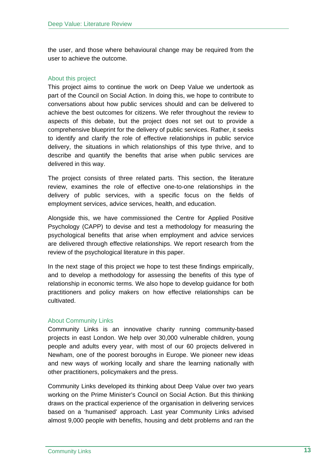the user, and those where behavioural change may be required from the user to achieve the outcome.

### About this project

This project aims to continue the work on Deep Value we undertook as part of the Council on Social Action. In doing this, we hope to contribute to conversations about how public services should and can be delivered to achieve the best outcomes for citizens. We refer throughout the review to aspects of this debate, but the project does not set out to provide a comprehensive blueprint for the delivery of public services. Rather, it seeks to identify and clarify the role of effective relationships in public service delivery, the situations in which relationships of this type thrive, and to describe and quantify the benefits that arise when public services are delivered in this way.

The project consists of three related parts. This section, the literature review, examines the role of effective one-to-one relationships in the delivery of public services, with a specific focus on the fields of employment services, advice services, health, and education.

Alongside this, we have commissioned the Centre for Applied Positive Psychology (CAPP) to devise and test a methodology for measuring the psychological benefits that arise when employment and advice services are delivered through effective relationships. We report research from the review of the psychological literature in this paper.

In the next stage of this project we hope to test these findings empirically, and to develop a methodology for assessing the benefits of this type of relationship in economic terms. We also hope to develop guidance for both practitioners and policy makers on how effective relationships can be cultivated.

### About Community Links

Community Links is an innovative charity running community-based projects in east London. We help over 30,000 vulnerable children, young people and adults every year, with most of our 60 projects delivered in Newham, one of the poorest boroughs in Europe. We pioneer new ideas and new ways of working locally and share the learning nationally with other practitioners, policymakers and the press.

Community Links developed its thinking about Deep Value over two years working on the Prime Minister's Council on Social Action. But this thinking draws on the practical experience of the organisation in delivering services based on a 'humanised' approach. Last year Community Links advised almost 9,000 people with benefits, housing and debt problems and ran the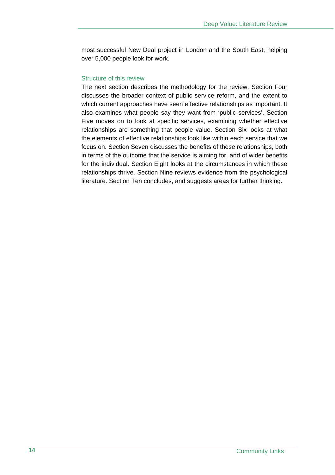most successful New Deal project in London and the South East, helping over 5,000 people look for work.

### Structure of this review

The next section describes the methodology for the review. Section Four discusses the broader context of public service reform, and the extent to which current approaches have seen effective relationships as important. It also examines what people say they want from 'public services'. Section Five moves on to look at specific services, examining whether effective relationships are something that people value. Section Six looks at what the elements of effective relationships look like within each service that we focus on. Section Seven discusses the benefits of these relationships, both in terms of the outcome that the service is aiming for, and of wider benefits for the individual. Section Eight looks at the circumstances in which these relationships thrive. Section Nine reviews evidence from the psychological literature. Section Ten concludes, and suggests areas for further thinking.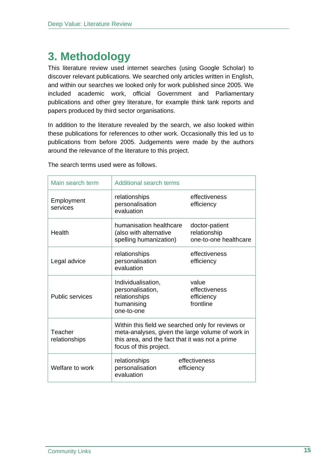## **3. Methodology**

This literature review used internet searches (using Google Scholar) to discover relevant publications. We searched only articles written in English, and within our searches we looked only for work published since 2005. We included academic work, official Government and Parliamentary publications and other grey literature, for example think tank reports and papers produced by third sector organisations.

In addition to the literature revealed by the search, we also looked within these publications for references to other work. Occasionally this led us to publications from before 2005. Judgements were made by the authors around the relevance of the literature to this project.

| Main search term         | <b>Additional search terms</b>                                                                                                                                                     |                                                         |
|--------------------------|------------------------------------------------------------------------------------------------------------------------------------------------------------------------------------|---------------------------------------------------------|
| Employment<br>services   | relationships<br>personalisation<br>evaluation                                                                                                                                     | effectiveness<br>efficiency                             |
| Health                   | humanisation healthcare<br>(also with alternative<br>spelling humanization)                                                                                                        | doctor-patient<br>relationship<br>one-to-one healthcare |
| Legal advice             | relationships<br>personalisation<br>evaluation                                                                                                                                     | effectiveness<br>efficiency                             |
| <b>Public services</b>   | Individualisation,<br>personalisation,<br>relationships<br>humanising<br>one-to-one                                                                                                | value<br>effectiveness<br>efficiency<br>frontline       |
| Teacher<br>relationships | Within this field we searched only for reviews or<br>meta-analyses, given the large volume of work in<br>this area, and the fact that it was not a prime<br>focus of this project. |                                                         |
| Welfare to work          | relationships<br>personalisation<br>evaluation                                                                                                                                     | effectiveness<br>efficiency                             |

The search terms used were as follows.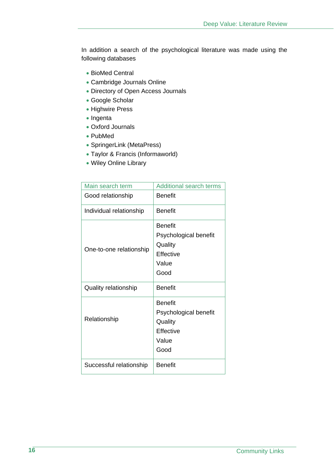In addition a search of the psychological literature was made using the following databases

- BioMed Central
- Cambridge Journals Online
- Directory of Open Access Journals
- Google Scholar
- Highwire Press
- Ingenta
- Oxford Journals
- PubMed
- SpringerLink (MetaPress)
- Taylor & Francis (Informaworld)
- Wiley Online Library

| Main search term            | <b>Additional search terms</b>                                                          |
|-----------------------------|-----------------------------------------------------------------------------------------|
| Good relationship           | <b>Benefit</b>                                                                          |
| Individual relationship     | <b>Benefit</b>                                                                          |
| One-to-one relationship     | <b>Benefit</b><br>Psychological benefit<br>Quality<br><b>Effective</b><br>Value<br>Good |
| <b>Quality relationship</b> | <b>Benefit</b>                                                                          |
| Relationship                | <b>Benefit</b><br>Psychological benefit<br>Quality<br>Effective<br>Value<br>Good        |
| Successful relationship     | <b>Benefit</b>                                                                          |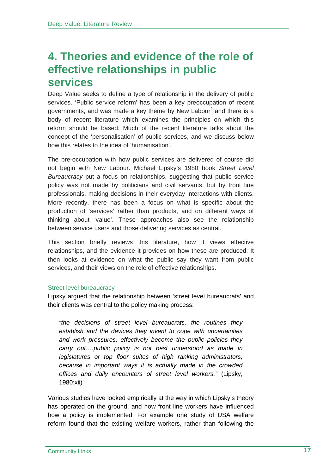### **4. Theories and evidence of the role of effective relationships in public services**

Deep Value seeks to define a type of relationship in the delivery of public services. 'Public service reform' has been a key preoccupation of recent governments, and was made a key theme by New Labour<sup>2</sup> and there is a body of recent literature which examines the principles on which this reform should be based. Much of the recent literature talks about the concept of the 'personalisation' of public services, and we discuss below how this relates to the idea of 'humanisation'.

The pre-occupation with how public services are delivered of course did not begin with New Labour. Michael Lipsky's 1980 book *Street Level Bureaucracy* put a focus on relationships, suggesting that public service policy was not made by politicians and civil servants, but by front line professionals, making decisions in their everyday interactions with clients. More recently, there has been a focus on what is specific about the production of 'services' rather than products, and on different ways of thinking about 'value'. These approaches also see the relationship between service users and those delivering services as central.

This section briefly reviews this literature, how it views effective relationships, and the evidence it provides on how these are produced. It then looks at evidence on what the public say they want from public services, and their views on the role of effective relationships.

### Street level bureaucracy

Lipsky argued that the relationship between 'street level bureaucrats' and their clients was central to the policy making process:

*"the decisions of street level bureaucrats, the routines they establish and the devices they invent to cope with uncertainties and work pressures, effectively become the public policies they carry out….public policy is not best understood as made in legislatures or top floor suites of high ranking administrators, because in important ways it is actually made in the crowded offices and daily encounters of street level workers."* (Lipsky, 1980:xii)

Various studies have looked empirically at the way in which Lipsky's theory has operated on the ground, and how front line workers have influenced how a policy is implemented. For example one study of USA welfare reform found that the existing welfare workers, rather than following the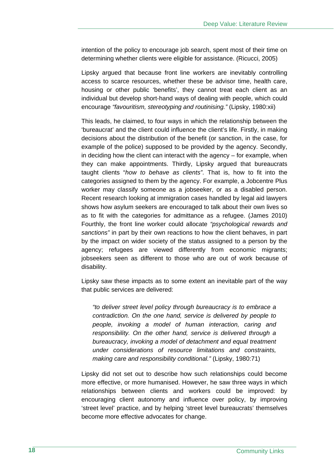intention of the policy to encourage job search, spent most of their time on determining whether clients were eligible for assistance. (Ricucci, 2005)

Lipsky argued that because front line workers are inevitably controlling access to scarce resources, whether these be advisor time, health care, housing or other public 'benefits', they cannot treat each client as an individual but develop short-hand ways of dealing with people, which could encourage *"favouritism, stereotyping and routinising."* (Lipsky, 1980:xii)

This leads, he claimed, to four ways in which the relationship between the 'bureaucrat' and the client could influence the client's life. Firstly, in making decisions about the distribution of the benefit (or sanction, in the case, for example of the police) supposed to be provided by the agency. Secondly, in deciding how the client can interact with the agency – for example, when they can make appointments. Thirdly, Lipsky argued that bureaucrats taught clients "*how to behave as clients"*. That is, how to fit into the categories assigned to them by the agency. For example, a Jobcentre Plus worker may classify someone as a jobseeker, or as a disabled person. Recent research looking at immigration cases handled by legal aid lawyers shows how asylum seekers are encouraged to talk about their own lives so as to fit with the categories for admittance as a refugee. (James 2010) Fourthly, the front line worker could allocate *"psychological rewards and sanctions"* in part by their own reactions to how the client behaves, in part by the impact on wider society of the status assigned to a person by the agency; refugees are viewed differently from economic migrants; jobseekers seen as different to those who are out of work because of disability.

Lipsky saw these impacts as to some extent an inevitable part of the way that public services are delivered:

*"to deliver street level policy through bureaucracy is to embrace a contradiction. On the one hand, service is delivered by people to people, invoking a model of human interaction, caring and responsibility. On the other hand, service is delivered through a bureaucracy, invoking a model of detachment and equal treatment under considerations of resource limitations and constraints, making care and responsibility conditional."* (Lipsky, 1980:71)

Lipsky did not set out to describe how such relationships could become more effective, or more humanised. However, he saw three ways in which relationships between clients and workers could be improved: by encouraging client autonomy and influence over policy, by improving 'street level' practice, and by helping 'street level bureaucrats' themselves become more effective advocates for change.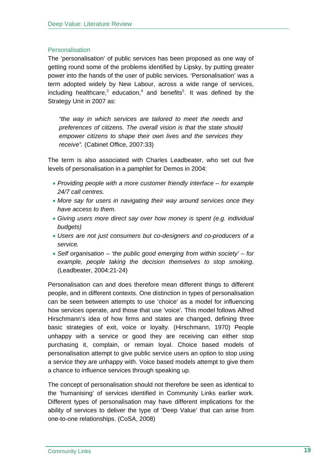### **Personalisation**

The 'personalisation' of public services has been proposed as one way of getting round some of the problems identified by Lipsky, by putting greater power into the hands of the user of public services. 'Personalisation' was a term adopted widely by New Labour, across a wide range of services, including healthcare,<sup>3</sup> education,<sup>4</sup> and benefits<sup>5</sup>. It was defined by the Strategy Unit in 2007 as:

*"the way in which services are tailored to meet the needs and preferences of citizens. The overall vision is that the state should empower citizens to shape their own lives and the services they receive".* (Cabinet Office, 2007:33)

The term is also associated with Charles Leadbeater, who set out five levels of personalisation in a pamphlet for Demos in 2004:

- *Providing people with a more customer friendly interface for example 24/7 call centres.*
- *More say for users in navigating their way around services once they have access to them.*
- *Giving users more direct say over how money is spent (e.g. individual budgets)*
- *Users are not just consumers but co-designers and co-producers of a service.*
- *Self organisation 'the public good emerging from within society' for example, people taking the decision themselves to stop smoking*. (Leadbeater, 2004:21-24)

Personalisation can and does therefore mean different things to different people, and in different contexts. One distinction in types of personalisation can be seen between attempts to use 'choice' as a model for influencing how services operate, and those that use 'voice'. This model follows Alfred Hirschmann's idea of how firms and states are changed, defining three basic strategies of exit, voice or loyalty. (Hirschmann, 1970) People unhappy with a service or good they are receiving can either stop purchasing it, complain, or remain loyal. Choice based models of personalisation attempt to give public service users an option to stop using a service they are unhappy with. Voice based models attempt to give them a chance to influence services through speaking up.

The concept of personalisation should not therefore be seen as identical to the 'humanising' of services identified in Community Links earlier work. Different types of personalisation may have different implications for the ability of services to deliver the type of 'Deep Value' that can arise from one-to-one relationships. (CoSA, 2008)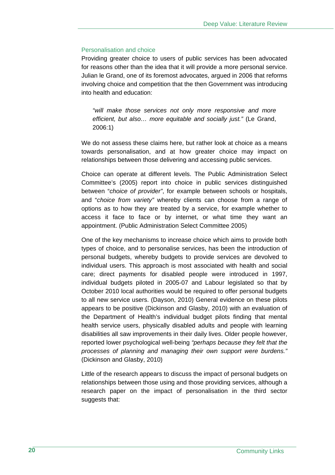### Personalisation and choice

Providing greater choice to users of public services has been advocated for reasons other than the idea that it will provide a more personal service. Julian le Grand, one of its foremost advocates, argued in 2006 that reforms involving choice and competition that the then Government was introducing into health and education:

*"will make those services not only more responsive and more efficient, but also… more equitable and socially just."* (Le Grand, 2006:1)

We do not assess these claims here, but rather look at choice as a means towards personalisation, and at how greater choice may impact on relationships between those delivering and accessing public services.

Choice can operate at different levels. The Public Administration Select Committee's (2005) report into choice in public services distinguished between "*choice of provider"*, for example between schools or hospitals, and "*choice from variety"* whereby clients can choose from a range of options as to how they are treated by a service, for example whether to access it face to face or by internet, or what time they want an appointment. (Public Administration Select Committee 2005)

One of the key mechanisms to increase choice which aims to provide both types of choice, and to personalise services, has been the introduction of personal budgets, whereby budgets to provide services are devolved to individual users. This approach is most associated with health and social care; direct payments for disabled people were introduced in 1997, individual budgets piloted in 2005-07 and Labour legislated so that by October 2010 local authorities would be required to offer personal budgets to all new service users. (Dayson, 2010) General evidence on these pilots appears to be positive (Dickinson and Glasby, 2010) with an evaluation of the Department of Health's individual budget pilots finding that mental health service users, physically disabled adults and people with learning disabilities all saw improvements in their daily lives. Older people however, reported lower psychological well-being *"perhaps because they felt that the processes of planning and managing their own support were burdens."*  (Dickinson and Glasby, 2010)

Little of the research appears to discuss the impact of personal budgets on relationships between those using and those providing services, although a research paper on the impact of personalisation in the third sector suggests that: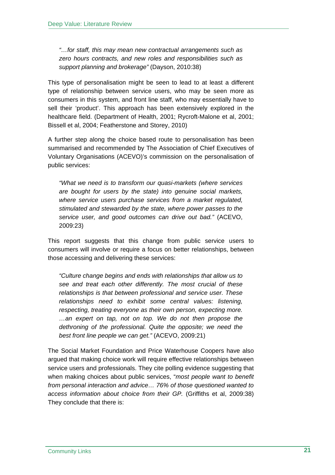*"…for staff, this may mean new contractual arrangements such as zero hours contracts, and new roles and responsibilities such as support planning and brokerage"* (Dayson, 2010:38)

This type of personalisation might be seen to lead to at least a different type of relationship between service users, who may be seen more as consumers in this system, and front line staff, who may essentially have to sell their 'product'. This approach has been extensively explored in the healthcare field. (Department of Health, 2001; Rycroft-Malone et al, 2001; Bissell et al, 2004; Featherstone and Storey, 2010)

A further step along the choice based route to personalisation has been summarised and recommended by The Association of Chief Executives of Voluntary Organisations (ACEVO)'s commission on the personalisation of public services:

*"What we need is to transform our quasi-markets (where services are bought for users by the state) into genuine social markets, where service users purchase services from a market regulated, stimulated and stewarded by the state, where power passes to the service user, and good outcomes can drive out bad."* (ACEVO, 2009:23)

This report suggests that this change from public service users to consumers will involve or require a focus on better relationships, between those accessing and delivering these services:

*"Culture change begins and ends with relationships that allow us to see and treat each other differently. The most crucial of these relationships is that between professional and service user. These relationships need to exhibit some central values: listening, respecting, treating everyone as their own person, expecting more. …an expert on tap, not on top. We do not then propose the dethroning of the professional. Quite the opposite; we need the best front line people we can get."* (ACEVO, 2009:21)

The Social Market Foundation and Price Waterhouse Coopers have also argued that making choice work will require effective relationships between service users and professionals. They cite polling evidence suggesting that when making choices about public services, "*most people want to benefit from personal interaction and advice… 76% of those questioned wanted to access information about choice from their GP.* (Griffiths et al, 2009:38) They conclude that there is: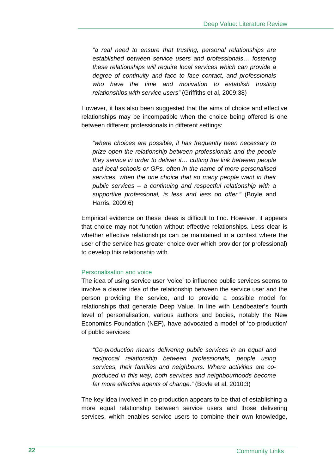*"a real need to ensure that trusting, personal relationships are established between service users and professionals… fostering these relationships will require local services which can provide a degree of continuity and face to face contact, and professionals who have the time and motivation to establish trusting relationships with service users"* (Griffiths et al, 2009:38)

However, it has also been suggested that the aims of choice and effective relationships may be incompatible when the choice being offered is one between different professionals in different settings:

*"where choices are possible, it has frequently been necessary to prize open the relationship between professionals and the people they service in order to deliver it… cutting the link between people and local schools or GPs, often in the name of more personalised services, when the one choice that so many people want in their public services – a continuing and respectful relationship with a supportive professional, is less and less on offer."* (Boyle and Harris, 2009:6)

Empirical evidence on these ideas is difficult to find. However, it appears that choice may not function without effective relationships. Less clear is whether effective relationships can be maintained in a context where the user of the service has greater choice over which provider (or professional) to develop this relationship with.

### Personalisation and voice

The idea of using service user 'voice' to influence public services seems to involve a clearer idea of the relationship between the service user and the person providing the service, and to provide a possible model for relationships that generate Deep Value. In line with Leadbeater's fourth level of personalisation, various authors and bodies, notably the New Economics Foundation (NEF), have advocated a model of 'co-production' of public services:

*"Co-production means delivering public services in an equal and reciprocal relationship between professionals, people using services, their families and neighbours. Where activities are coproduced in this way, both services and neighbourhoods become far more effective agents of change."* (Boyle et al, 2010:3)

The key idea involved in co-production appears to be that of establishing a more equal relationship between service users and those delivering services, which enables service users to combine their own knowledge,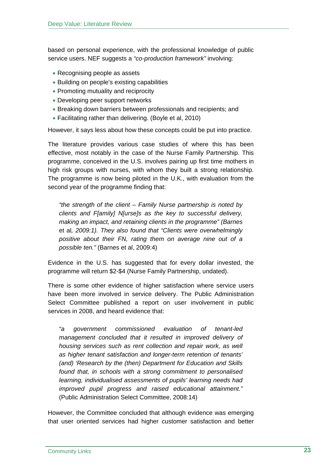based on personal experience, with the professional knowledge of public service users. NEF suggests a *"co-production framework"* involving:

- Recognising people as assets
- Building on people's existing capabilities
- Promoting mutuality and reciprocity
- Developing peer support networks
- Breaking down barriers between professionals and recipients; and
- Facilitating rather than delivering. (Boyle et al, 2010)

However, it says less about how these concepts could be put into practice.

The literature provides various case studies of where this has been effective, most notably in the case of the Nurse Family Partnership. This programme, conceived in the U.S. involves pairing up first time mothers in high risk groups with nurses, with whom they built a strong relationship. The programme is now being piloted in the U.K., with evaluation from the second year of the programme finding that:

*"the strength of the client – Family Nurse partnership is noted by clients and F[amily] N[urse]s as the key to successful delivery, making an impact, and retaining clients in the programme" (Barnes*  et al*, 2009:1). They also found that "Clients were overwhelmingly positive about their FN, rating them on average nine out of a possible ten."* (Barnes et al, 2009:4)

Evidence in the U.S. has suggested that for every dollar invested, the programme will return \$2-\$4 (Nurse Family Partnership, undated).

There is some other evidence of higher satisfaction where service users have been more involved in service delivery. The Public Administration Select Committee published a report on user involvement in public services in 2008, and heard evidence that:

*"a government commissioned evaluation of tenant-led management concluded that it resulted in improved delivery of housing services such as rent collection and repair work, as well as higher tenant satisfaction and longer-term retention of tenants' (and) 'Research by the (then) Department for Education and Skills found that, in schools with a strong commitment to personalised learning, individualised assessments of pupils' learning needs had improved pupil progress and raised educational attainment."*  (Public Administration Select Committee, 2008:14)

However, the Committee concluded that although evidence was emerging that user oriented services had higher customer satisfaction and better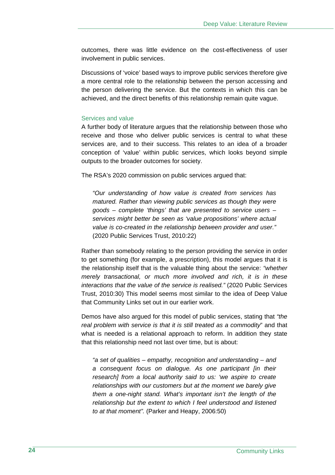outcomes, there was little evidence on the cost-effectiveness of user involvement in public services.

Discussions of 'voice' based ways to improve public services therefore give a more central role to the relationship between the person accessing and the person delivering the service. But the contexts in which this can be achieved, and the direct benefits of this relationship remain quite vague.

#### Services and value

A further body of literature argues that the relationship between those who receive and those who deliver public services is central to what these services are, and to their success. This relates to an idea of a broader conception of 'value' within public services, which looks beyond simple outputs to the broader outcomes for society.

The RSA's 2020 commission on public services argued that:

*"Our understanding of how value is created from services has matured. Rather than viewing public services as though they were goods – complete 'things' that are presented to service users – services might better be seen as 'value propositions' where actual value is co-created in the relationship between provider and user."*  (2020 Public Services Trust, 2010:22)

Rather than somebody relating to the person providing the service in order to get something (for example, a prescription), this model argues that it is the relationship itself that is the valuable thing about the service: *"whether merely transactional, or much more involved and rich, it is in these interactions that the value of the service is realised."* (2020 Public Services Trust, 2010:30) This model seems most similar to the idea of Deep Value that Community Links set out in our earlier work.

Demos have also argued for this model of public services, stating that *"the real problem with service is that it is still treated as a commodity*" and that what is needed is a relational approach to reform. In addition they state that this relationship need not last over time, but is about:

*"a set of qualities – empathy, recognition and understanding – and a consequent focus on dialogue. As one participant [in their research] from a local authority said to us: 'we aspire to create relationships with our customers but at the moment we barely give them a one-night stand. What's important isn't the length of the relationship but the extent to which I feel understood and listened to at that moment".* (Parker and Heapy, 2006:50)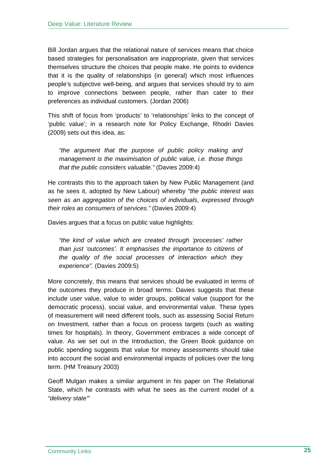Bill Jordan argues that the relational nature of services means that choice based strategies for personalisation are inappropriate, given that services themselves structure the choices that people make. He points to evidence that it is the quality of relationships (in general) which most influences people's subjective well-being, and argues that services should try to aim to improve connections between people, rather than cater to their preferences as individual customers. (Jordan 2006)

This shift of focus from 'products' to 'relationships' links to the concept of 'public value'; in a research note for Policy Exchange, Rhodri Davies (2009) sets out this idea, as:

*"the argument that the purpose of public policy making and management is the maximisation of public value, i.e. those things that the public considers valuable."* (Davies 2009:4)

He contrasts this to the approach taken by New Public Management (and as he sees it, adopted by New Labour) whereby *"the public interest was seen as an aggregation of the choices of individuals, expressed through their roles as consumers of services."* (Davies 2009:4)

Davies argues that a focus on public value highlights:

*"the kind of value which are created through 'processes' rather than just 'outcomes'. It emphasises the importance to citizens of the quality of the social processes of interaction which they experience".* (Davies 2009:5)

More concretely, this means that services should be evaluated in terms of the outcomes they produce in broad terms: Davies suggests that these include user value, value to wider groups, political value (support for the democratic process), social value, and environmental value. These types of measurement will need different tools, such as assessing Social Return on Investment, rather than a focus on process targets (such as waiting times for hospitals). In theory, Government embraces a wide concept of value. As we set out in the Introduction, the Green Book guidance on public spending suggests that value for money assessments should take into account the social and environmental impacts of policies over the long term. (HM Treasury 2003)

Geoff Mulgan makes a similar argument in his paper on The Relational State, which he contrasts with what he sees as the current model of a *"delivery state'*"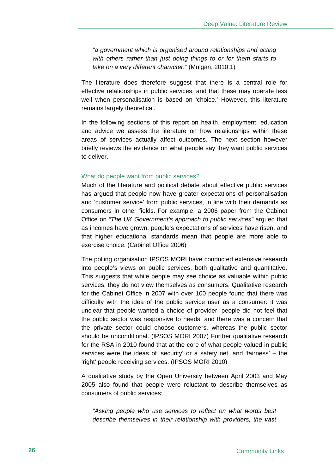*"a government which is organised around relationships and acting with others rather than just doing things to or for them starts to take on a very different character."* (Mulgan, 2010:1)

The literature does therefore suggest that there is a central role for effective relationships in public services, and that these may operate less well when personalisation is based on 'choice.' However, this literature remains largely theoretical.

In the following sections of this report on health, employment, education and advice we assess the literature on how relationships within these areas of services actually affect outcomes. The next section however briefly reviews the evidence on what people say they want public services to deliver.

#### What do people want from public services?

Much of the literature and political debate about effective public services has argued that people now have greater expectations of personalisation and 'customer service' from public services, in line with their demands as consumers in other fields. For example, a 2006 paper from the Cabinet Office on *"The UK Government's approach to public services"* argued that as incomes have grown, people's expectations of services have risen, and that higher educational standards mean that people are more able to exercise choice. (Cabinet Office 2006)

The polling organisation IPSOS MORI have conducted extensive research into people's views on public services, both qualitative and quantitative. This suggests that while people may see choice as valuable within public services, they do not view themselves as consumers. Qualitative research for the Cabinet Office in 2007 with over 100 people found that there was difficulty with the idea of the public service user as a consumer: it was unclear that people wanted a choice of provider, people did not feel that the public sector was responsive to needs, and there was a concern that the private sector could choose customers, whereas the public sector should be unconditional. (IPSOS MORI 2007) Further qualitative research for the RSA in 2010 found that at the core of what people valued in public services were the ideas of 'security' or a safety net, and 'fairness' – the 'right' people receiving services. (IPSOS MORI 2010)

A qualitative study by the Open University between April 2003 and May 2005 also found that people were reluctant to describe themselves as consumers of public services:

*"Asking people who use services to reflect on what words best describe themselves in their relationship with providers, the vast*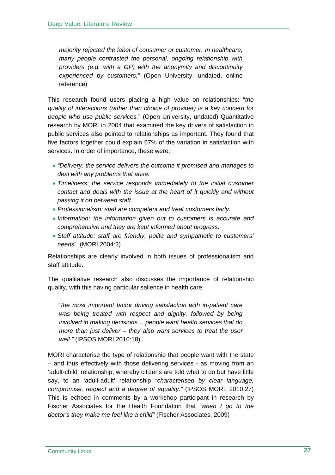*majority rejected the label of consumer or customer. In healthcare, many people contrasted the personal, ongoing relationship with providers (e.g. with a GP) with the anonymity and discontinuity experienced by customers."* (Open University, undated, online reference)

This research found users placing a high value on relationships: "*the quality of interactions (rather than choice of provider) is a key concern for people who use public services.*" (Open University, undated) Quantitative research by MORI in 2004 that examined the key drivers of satisfaction in public services also pointed to relationships as important. They found that five factors together could explain 67% of the variation in satisfaction with services. In order of importance, these were:

- *"Delivery: the service delivers the outcome it promised and manages to deal with any problems that arise.*
- *Timeliness: the service responds immediately to the initial customer contact and deals with the issue at the heart of it quickly and without passing it on between staff.*
- *Professionalism: staff are competent and treat customers fairly.*
- *Information: the information given out to customers is accurate and comprehensive and they are kept informed about progress.*
- *Staff attitude: staff are friendly, polite and sympathetic to customers' needs*"*.* (MORI 2004:3)

Relationships are clearly involved in both issues of professionalism and staff attitude.

The qualitative research also discusses the importance of relationship quality, with this having particular salience in health care:

*"the most important factor driving satisfaction with in-patient care*  was being treated with respect and dignity, followed by being *involved in making decisions… people want health services that do more than just deliver – they also want services to treat the user well."* (IPSOS MORI 2010:18)

MORI characterise the type of relationship that people want with the state – and thus effectively with those delivering services - as moving from an 'adult-child' relationship, whereby citizens are told what to do but have little say, to an 'adult-adult' relationship *"characterised by clear language, compromise, respect and a degree of equality."* (IPSOS MORI, 2010:27) This is echoed in comments by a workshop participant in research by Fischer Associates for the Health Foundation that *"when I go to the doctor's they make me feel like a child"* (Fischer Associates, 2009)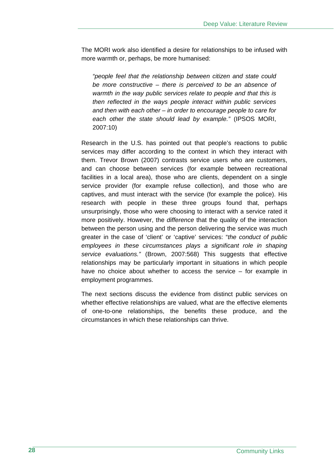The MORI work also identified a desire for relationships to be infused with more warmth or, perhaps, be more humanised:

*"people feel that the relationship between citizen and state could be more constructive – there is perceived to be an absence of warmth in the way public services relate to people and that this is then reflected in the ways people interact within public services and then with each other – in order to encourage people to care for each other the state should lead by example."* (IPSOS MORI, 2007:10)

Research in the U.S. has pointed out that people's reactions to public services may differ according to the context in which they interact with them. Trevor Brown (2007) contrasts service users who are customers, and can choose between services (for example between recreational facilities in a local area), those who are clients, dependent on a single service provider (for example refuse collection), and those who are captives, and must interact with the service (for example the police). His research with people in these three groups found that, perhaps unsurprisingly, those who were choosing to interact with a service rated it more positively. However, the *difference* that the quality of the interaction between the person using and the person delivering the service was much greater in the case of 'client' or 'captive' services: "*the conduct of public employees in these circumstances plays a significant role in shaping service evaluations."* (Brown, 2007:568) This suggests that effective relationships may be particularly important in situations in which people have no choice about whether to access the service – for example in employment programmes.

The next sections discuss the evidence from distinct public services on whether effective relationships are valued, what are the effective elements of one-to-one relationships, the benefits these produce, and the circumstances in which these relationships can thrive.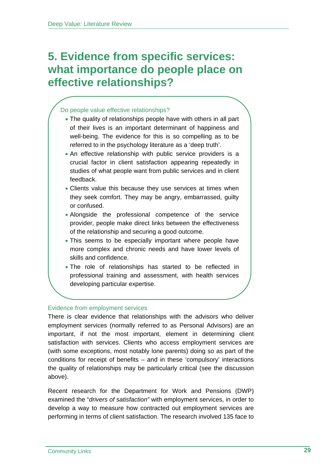### **5. Evidence from specific services: what importance do people place on effective relationships?**

### Do people value effective relationships?

- The quality of relationships people have with others in all part of their lives is an important determinant of happiness and well-being. The evidence for this is so compelling as to be referred to in the psychology literature as a 'deep truth'.
- An effective relationship with public service providers is a crucial factor in client satisfaction appearing repeatedly in studies of what people want from public services and in client feedback.
- Clients value this because they use services at times when they seek comfort. They may be angry, embarrassed, guilty or confused.
- Alongside the professional competence of the service provider, people make direct links between the effectiveness of the relationship and securing a good outcome.
- This seems to be especially important where people have more complex and chronic needs and have lower levels of skills and confidence.
- The role of relationships has started to be reflected in professional training and assessment, with health services developing particular expertise.

### Evidence from employment services

There is clear evidence that relationships with the advisors who deliver employment services (normally referred to as Personal Advisors) are an important, if not the most important, element in determining client satisfaction with services. Clients who access employment services are (with some exceptions, most notably lone parents) doing so as part of the conditions for receipt of benefits – and in these 'compulsory' interactions the quality of relationships may be particularly critical (see the discussion above).

Recent research for the Department for Work and Pensions (DWP) examined the "*drivers of satisfaction"* with employment services, in order to develop a way to measure how contracted out employment services are performing in terms of client satisfaction. The research involved 135 face to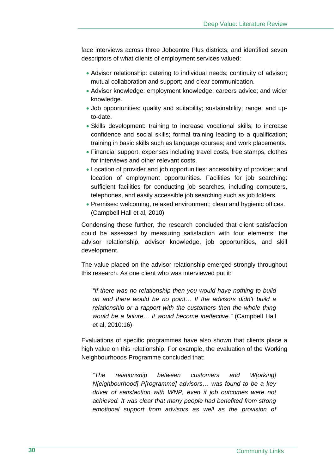face interviews across three Jobcentre Plus districts, and identified seven descriptors of what clients of employment services valued:

- Advisor relationship: catering to individual needs; continuity of advisor; mutual collaboration and support; and clear communication.
- Advisor knowledge: employment knowledge; careers advice; and wider knowledge.
- Job opportunities: quality and suitability; sustainability; range; and upto-date.
- Skills development: training to increase vocational skills; to increase confidence and social skills; formal training leading to a qualification; training in basic skills such as language courses; and work placements.
- Financial support: expenses including travel costs, free stamps, clothes for interviews and other relevant costs.
- Location of provider and job opportunities: accessibility of provider; and location of employment opportunities. Facilities for job searching: sufficient facilities for conducting job searches, including computers, telephones, and easily accessible job searching such as job folders.
- Premises: welcoming, relaxed environment; clean and hygienic offices. (Campbell Hall et al, 2010)

Condensing these further, the research concluded that client satisfaction could be assessed by measuring satisfaction with four elements: the advisor relationship, advisor knowledge, job opportunities, and skill development.

The value placed on the advisor relationship emerged strongly throughout this research. As one client who was interviewed put it:

*"If there was no relationship then you would have nothing to build on and there would be no point… If the advisors didn't build a relationship or a rapport with the customers then the whole thing would be a failure… it would become ineffective."* (Campbell Hall et al, 2010:16)

Evaluations of specific programmes have also shown that clients place a high value on this relationship. For example, the evaluation of the Working Neighbourhoods Programme concluded that:

*"The relationship between customers and W[orking] N[eighbourhood] P[rogramme] advisors… was found to be a key driver of satisfaction with WNP, even if job outcomes were not achieved. It was clear that many people had benefited from strong emotional support from advisors as well as the provision of*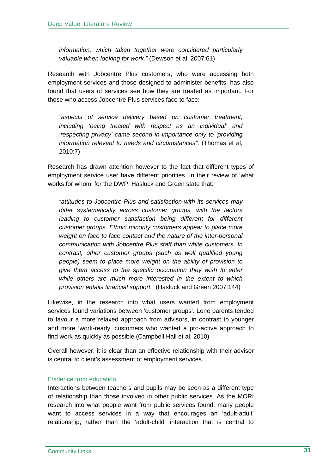*information, which taken together were considered particularly valuable when looking for work."* (Dewson et al, 2007:61)

Research with Jobcentre Plus customers, who were accessing both employment services and those designed to administer benefits, has also found that users of services see how they are treated as important. For those who access Jobcentre Plus services face to face:

*"aspects of service delivery based on customer treatment, including 'being treated with respect as an individual' and 'respecting privacy' came second in importance only to 'providing information relevant to needs and circumstances".* (Thomas et al, 2010:7)

Research has drawn attention however to the fact that different types of employment service user have different priorities. In their review of 'what works for whom' for the DWP, Hasluck and Green state that:

*"attitudes to Jobcentre Plus and satisfaction with its services may differ systematically across customer groups, with the factors*  leading to customer satisfaction being different for different *customer groups. Ethnic minority customers appear to place more weight on face to face contact and the nature of the inter-personal communication with Jobcentre Plus staff than white customers. In contrast, other customer groups (such as well qualified young people) seem to place more weight on the ability of provision to give them access to the specific occupation they wish to enter while others are much more interested in the extent to which provision entails financial support."* (Hasluck and Green 2007:144)

Likewise, in the research into what users wanted from employment services found variations between 'customer groups'. Lone parents tended to favour a more relaxed approach from advisors, in contrast to younger and more 'work-ready' customers who wanted a pro-active approach to find work as quickly as possible (Campbell Hall et al, 2010)

Overall however, it is clear than an effective relationship with their advisor is central to client's assessment of employment services.

### Evidence from education

Interactions between teachers and pupils may be seen as a different type of relationship than those involved in other public services. As the MORI research into what people want from public services found, many people want to access services in a way that encourages an 'adult-adult' relationship, rather than the 'adult-child' interaction that is central to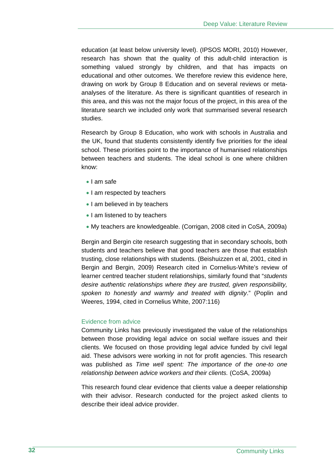education (at least below university level). (IPSOS MORI, 2010) However, research has shown that the quality of this adult-child interaction is something valued strongly by children, and that has impacts on educational and other outcomes. We therefore review this evidence here, drawing on work by Group 8 Education and on several reviews or metaanalyses of the literature. As there is significant quantities of research in this area, and this was not the major focus of the project, in this area of the literature search we included only work that summarised several research studies.

Research by Group 8 Education, who work with schools in Australia and the UK, found that students consistently identify five priorities for the ideal school. These priorities point to the importance of humanised relationships between teachers and students. The ideal school is one where children know:

- I am safe
- I am respected by teachers
- I am believed in by teachers
- I am listened to by teachers
- My teachers are knowledgeable. (Corrigan, 2008 cited in CoSA, 2009a)

Bergin and Bergin cite research suggesting that in secondary schools, both students and teachers believe that good teachers are those that establish trusting, close relationships with students. (Beishuizzen et al, 2001, cited in Bergin and Bergin, 2009) Research cited in Cornelius-White's review of learner centred teacher student relationships, similarly found that "*students desire authentic relationships where they are trusted, given responsibility, spoken to honestly and warmly and treated with dignity*." (Poplin and Weeres, 1994, cited in Cornelius White, 2007:116)

### Evidence from advice

Community Links has previously investigated the value of the relationships between those providing legal advice on social welfare issues and their clients. We focused on those providing legal advice funded by civil legal aid. These advisors were working in not for profit agencies. This research was published as *Time well spent: The importance of the one-to one relationship between advice workers and their clients.* (CoSA, 2009a)

This research found clear evidence that clients value a deeper relationship with their advisor. Research conducted for the project asked clients to describe their ideal advice provider.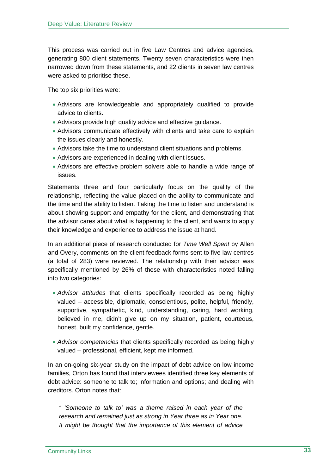This process was carried out in five Law Centres and advice agencies, generating 800 client statements. Twenty seven characteristics were then narrowed down from these statements, and 22 clients in seven law centres were asked to prioritise these.

The top six priorities were:

- Advisors are knowledgeable and appropriately qualified to provide advice to clients.
- Advisors provide high quality advice and effective guidance.
- Advisors communicate effectively with clients and take care to explain the issues clearly and honestly.
- Advisors take the time to understand client situations and problems.
- Advisors are experienced in dealing with client issues.
- Advisors are effective problem solvers able to handle a wide range of issues.

Statements three and four particularly focus on the quality of the relationship, reflecting the value placed on the ability to communicate and the time and the ability to listen. Taking the time to listen and understand is about showing support and empathy for the client, and demonstrating that the advisor cares about what is happening to the client, and wants to apply their knowledge and experience to address the issue at hand.

In an additional piece of research conducted for *Time Well Spent* by Allen and Overy, comments on the client feedback forms sent to five law centres (a total of 283) were reviewed. The relationship with their advisor was specifically mentioned by 26% of these with characteristics noted falling into two categories:

- *Advisor attitudes* that clients specifically recorded as being highly valued – accessible, diplomatic, conscientious, polite, helpful, friendly, supportive, sympathetic, kind, understanding, caring, hard working, believed in me, didn't give up on my situation, patient, courteous, honest, built my confidence, gentle.
- *Advisor competencies* that clients specifically recorded as being highly valued – professional, efficient, kept me informed.

In an on-going six-year study on the impact of debt advice on low income families, Orton has found that interviewees identified three key elements of debt advice: someone to talk to; information and options; and dealing with creditors. Orton notes that:

*" 'Someone to talk to' was a theme raised in each year of the research and remained just as strong in Year three as in Year one. It might be thought that the importance of this element of advice*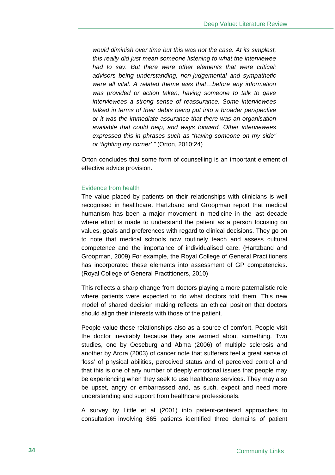*would diminish over time but this was not the case. At its simplest, this really did just mean someone listening to what the interviewee had to say. But there were other elements that were critical: advisors being understanding, non-judgemental and sympathetic were all vital. A related theme was that…before any information was provided or action taken, having someone to talk to gave interviewees a strong sense of reassurance. Some interviewees talked in terms of their debts being put into a broader perspective or it was the immediate assurance that there was an organisation available that could help, and ways forward. Other interviewees expressed this in phrases such as "having someone on my side" or 'fighting my corner' "* (Orton, 2010:24)

Orton concludes that some form of counselling is an important element of effective advice provision.

#### Evidence from health

The value placed by patients on their relationships with clinicians is well recognised in healthcare. Hartzband and Groopman report that medical humanism has been a major movement in medicine in the last decade where effort is made to understand the patient as a person focusing on values, goals and preferences with regard to clinical decisions. They go on to note that medical schools now routinely teach and assess cultural competence and the importance of individualised care. (Hartzband and Groopman, 2009) For example, the Royal College of General Practitioners has incorporated these elements into assessment of GP competencies. (Royal College of General Practitioners, 2010)

This reflects a sharp change from doctors playing a more paternalistic role where patients were expected to do what doctors told them. This new model of shared decision making reflects an ethical position that doctors should align their interests with those of the patient.

People value these relationships also as a source of comfort. People visit the doctor inevitably because they are worried about something. Two studies, one by Oeseburg and Abma (2006) of multiple sclerosis and another by Arora (2003) of cancer note that sufferers feel a great sense of 'loss' of physical abilities, perceived status and of perceived control and that this is one of any number of deeply emotional issues that people may be experiencing when they seek to use healthcare services. They may also be upset, angry or embarrassed and, as such, expect and need more understanding and support from healthcare professionals.

A survey by Little et al (2001) into patient-centered approaches to consultation involving 865 patients identified three domains of patient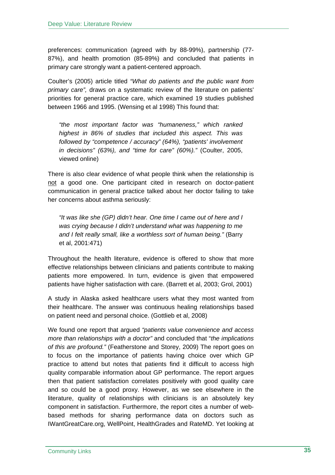preferences: communication (agreed with by 88-99%), partnership (77- 87%), and health promotion (85-89%) and concluded that patients in primary care strongly want a patient-centered approach.

Coulter's (2005) article titled *"What do patients and the public want from primary care",* draws on a systematic review of the literature on patients' priorities for general practice care, which examined 19 studies published between 1966 and 1995. (Wensing et al 1998) This found that:

*"the most important factor was "humaneness," which ranked highest in 86% of studies that included this aspect. This was followed by "competence / accuracy" (64%), "patients' involvement in decisions" (63%), and "time for care" (60%)."* (Coulter, 2005, viewed online)

There is also clear evidence of what people think when the relationship is not a good one. One participant cited in research on doctor-patient communication in general practice talked about her doctor failing to take her concerns about asthma seriously:

*"It was like she (GP) didn't hear. One time I came out of here and I was crying because I didn't understand what was happening to me and I felt really small, like a worthless sort of human being."* (Barry et al, 2001:471)

Throughout the health literature, evidence is offered to show that more effective relationships between clinicians and patients contribute to making patients more empowered. In turn, evidence is given that empowered patients have higher satisfaction with care. (Barrett et al, 2003; Grol, 2001)

A study in Alaska asked healthcare users what they most wanted from their healthcare. The answer was continuous healing relationships based on patient need and personal choice. (Gottlieb et al, 2008)

We found one report that argued *"patients value convenience and access more than relationships with a doctor"* and concluded that "*the implications of this are profound."* (Featherstone and Storey, 2009) The report goes on to focus on the importance of patients having choice over which GP practice to attend but notes that patients find it difficult to access high quality comparable information about GP performance. The report argues then that patient satisfaction correlates positively with good quality care and so could be a good proxy. However, as we see elsewhere in the literature, quality of relationships with clinicians is an absolutely key component in satisfaction. Furthermore, the report cites a number of webbased methods for sharing performance data on doctors such as IWantGreatCare.org, WellPoint, HealthGrades and RateMD. Yet looking at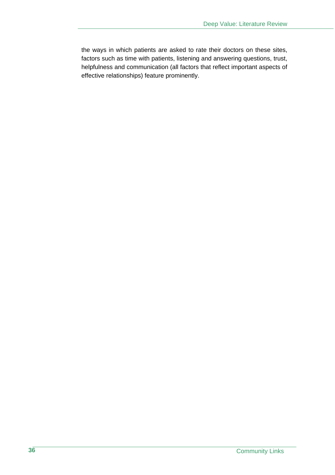the ways in which patients are asked to rate their doctors on these sites, factors such as time with patients, listening and answering questions, trust, helpfulness and communication (all factors that reflect important aspects of effective relationships) feature prominently.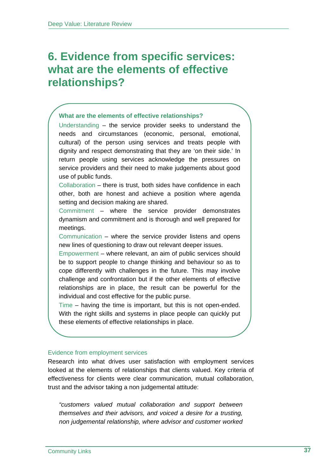## **6. Evidence from specific services: what are the elements of effective relationships?**

## **What are the elements of effective relationships?**

Understanding – the service provider seeks to understand the needs and circumstances (economic, personal, emotional, cultural) of the person using services and treats people with dignity and respect demonstrating that they are 'on their side.' In return people using services acknowledge the pressures on service providers and their need to make judgements about good use of public funds.

Collaboration – there is trust, both sides have confidence in each other, both are honest and achieve a position where agenda setting and decision making are shared.

Commitment – where the service provider demonstrates dynamism and commitment and is thorough and well prepared for meetings.

Communication – where the service provider listens and opens new lines of questioning to draw out relevant deeper issues.

Empowerment – where relevant, an aim of public services should be to support people to change thinking and behaviour so as to cope differently with challenges in the future. This may involve challenge and confrontation but if the other elements of effective relationships are in place, the result can be powerful for the individual and cost effective for the public purse.

Time – having the time is important, but this is not open-ended. With the right skills and systems in place people can quickly put these elements of effective relationships in place.

## Evidence from employment services

Research into what drives user satisfaction with employment services looked at the elements of relationships that clients valued. Key criteria of effectiveness for clients were clear communication, mutual collaboration, trust and the advisor taking a non judgemental attitude:

*"customers valued mutual collaboration and support between themselves and their advisors, and voiced a desire for a trusting, non judgemental relationship, where advisor and customer worked*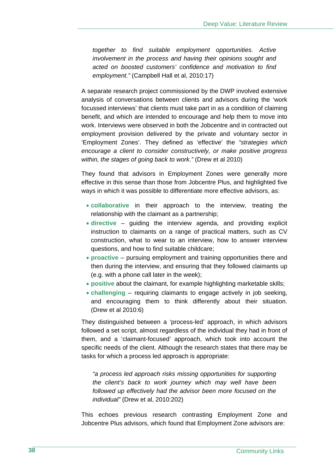*together to find suitable employment opportunities. Active involvement in the process and having their opinions sought and acted on boosted customers' confidence and motivation to find employment."* (Campbell Hall et al, 2010:17)

A separate research project commissioned by the DWP involved extensive analysis of conversations between clients and advisors during the 'work focussed interviews' that clients must take part in as a condition of claiming benefit, and which are intended to encourage and help them to move into work. Interviews were observed in both the Jobcentre and in contracted out employment provision delivered by the private and voluntary sector in 'Employment Zones'. They defined as 'effective' the *"strategies which encourage a client to consider constructively, or make positive progress within, the stages of going back to work."* (Drew et al 2010)

They found that advisors in Employment Zones were generally more effective in this sense than those from Jobcentre Plus, and highlighted five ways in which it was possible to differentiate more effective advisors, as:

- **collaborative** in their approach to the interview, treating the relationship with the claimant as a partnership;
- **directive** guiding the interview agenda, and providing explicit instruction to claimants on a range of practical matters, such as CV construction, what to wear to an interview, how to answer interview questions, and how to find suitable childcare;
- **proactive** pursuing employment and training opportunities there and then during the interview, and ensuring that they followed claimants up (e.g. with a phone call later in the week);
- **positive** about the claimant, for example highlighting marketable skills;
- **challenging** requiring claimants to engage actively in job seeking, and encouraging them to think differently about their situation. (Drew et al 2010:6)

They distinguished between a 'process-led' approach, in which advisors followed a set script, almost regardless of the individual they had in front of them, and a 'claimant-focused' approach, which took into account the specific needs of the client. Although the research states that there may be tasks for which a process led approach is appropriate:

*"a process led approach risks missing opportunities for supporting the client's back to work journey which may well have been followed up effectively had the advisor been more focused on the individual"* (Drew et al, 2010:202)

This echoes previous research contrasting Employment Zone and Jobcentre Plus advisors, which found that Employment Zone advisors are: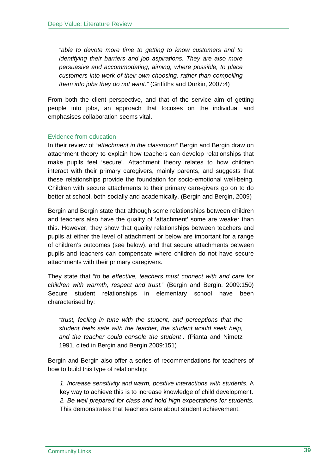*"able to devote more time to getting to know customers and to identifying their barriers and job aspirations. They are also more persuasive and accommodating, aiming, where possible, to place customers into work of their own choosing, rather than compelling them into jobs they do not want."* (Griffiths and Durkin, 2007:4)

From both the client perspective, and that of the service aim of getting people into jobs, an approach that focuses on the individual and emphasises collaboration seems vital.

## Evidence from education

In their review of "*attachment in the classroom"* Bergin and Bergin draw on attachment theory to explain how teachers can develop relationships that make pupils feel 'secure'. Attachment theory relates to how children interact with their primary caregivers, mainly parents, and suggests that these relationships provide the foundation for socio-emotional well-being. Children with secure attachments to their primary care-givers go on to do better at school, both socially and academically. (Bergin and Bergin, 2009)

Bergin and Bergin state that although some relationships between children and teachers also have the quality of 'attachment' some are weaker than this. However, they show that quality relationships between teachers and pupils at either the level of attachment or below are important for a range of children's outcomes (see below), and that secure attachments between pupils and teachers can compensate where children do not have secure attachments with their primary caregivers.

They state that "*to be effective, teachers must connect with and care for children with warmth, respect and trust."* (Bergin and Bergin, 2009:150) Secure student relationships in elementary school have been characterised by:

*"trust, feeling in tune with the student, and perceptions that the student feels safe with the teacher, the student would seek help, and the teacher could console the student".* (Pianta and Nimetz 1991, cited in Bergin and Bergin 2009:151)

Bergin and Bergin also offer a series of recommendations for teachers of how to build this type of relationship:

*1. Increase sensitivity and warm, positive interactions with students.* A key way to achieve this is to increase knowledge of child development. *2. Be well prepared for class and hold high expectations for students.*  This demonstrates that teachers care about student achievement.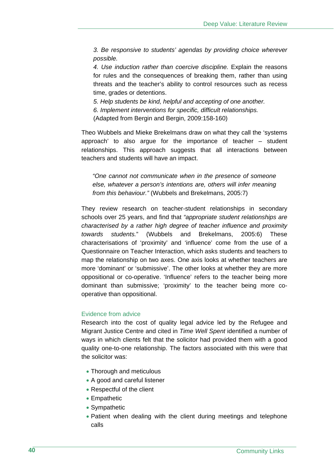*3. Be responsive to students' agendas by providing choice wherever possible.* 

*4. Use induction rather than coercive discipline.* Explain the reasons for rules and the consequences of breaking them, rather than using threats and the teacher's ability to control resources such as recess time, grades or detentions.

*5. Help students be kind, helpful and accepting of one another. 6. Implement interventions for specific, difficult relationships.*  (Adapted from Bergin and Bergin, 2009:158-160)

Theo Wubbels and Mieke Brekelmans draw on what they call the 'systems approach' to also argue for the importance of teacher – student relationships. This approach suggests that all interactions between teachers and students will have an impact.

*"One cannot not communicate when in the presence of someone else, whatever a person's intentions are, others will infer meaning from this behaviour."* (Wubbels and Brekelmans, 2005:7)

They review research on teacher-student relationships in secondary schools over 25 years, and find that *"appropriate student relationships are characterised by a rather high degree of teacher influence and proximity towards students.*" (Wubbels and Brekelmans, 2005:6) These characterisations of 'proximity' and 'influence' come from the use of a Questionnaire on Teacher Interaction, which asks students and teachers to map the relationship on two axes. One axis looks at whether teachers are more 'dominant' or 'submissive'. The other looks at whether they are more oppositional or co-operative. 'Influence' refers to the teacher being more dominant than submissive; 'proximity' to the teacher being more cooperative than oppositional.

## Evidence from advice

Research into the cost of quality legal advice led by the Refugee and Migrant Justice Centre and cited in *Time Well Spent* identified a number of ways in which clients felt that the solicitor had provided them with a good quality one-to-one relationship. The factors associated with this were that the solicitor was:

- Thorough and meticulous
- A good and careful listener
- Respectful of the client
- Empathetic
- Sympathetic
- Patient when dealing with the client during meetings and telephone calls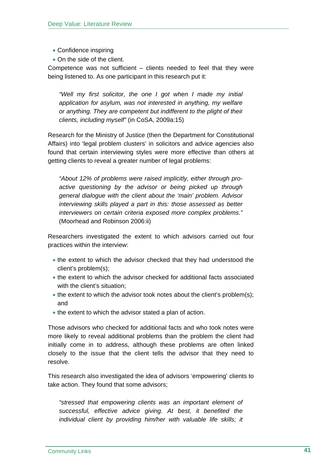- Confidence inspiring
- On the side of the client.

Competence was not sufficient – clients needed to feel that they were being listened to. As one participant in this research put it:

*"Well my first solicitor, the one I got when I made my initial application for asylum, was not interested in anything, my welfare or anything. They are competent but indifferent to the plight of their clients, including myself"* (in CoSA, 2009a:15)

Research for the Ministry of Justice (then the Department for Constitutional Affairs) into 'legal problem clusters' in solicitors and advice agencies also found that certain interviewing styles were more effective than others at getting clients to reveal a greater number of legal problems:

*"About 12% of problems were raised implicitly, either through proactive questioning by the advisor or being picked up through general dialogue with the client about the 'main' problem. Advisor interviewing skills played a part in this: those assessed as better interviewers on certain criteria exposed more complex problems."* (Moorhead and Robinson 2006:ii)

Researchers investigated the extent to which advisors carried out four practices within the interview:

- the extent to which the advisor checked that they had understood the client's problem(s);
- the extent to which the advisor checked for additional facts associated with the client's situation;
- the extent to which the advisor took notes about the client's problem(s); and
- the extent to which the advisor stated a plan of action.

Those advisors who checked for additional facts and who took notes were more likely to reveal additional problems than the problem the client had initially come in to address, although these problems are often linked closely to the issue that the client tells the advisor that they need to resolve.

This research also investigated the idea of advisors 'empowering' clients to take action. They found that some advisors;

*"stressed that empowering clients was an important element of successful, effective advice giving. At best, it benefited the individual client by providing him/her with valuable life skills; it*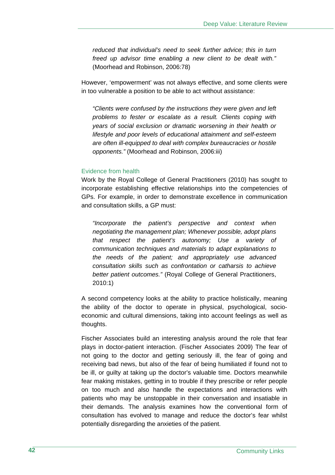*reduced that individual's need to seek further advice; this in turn freed up advisor time enabling a new client to be dealt with."*  (Moorhead and Robinson, 2006:78)

However, 'empowerment' was not always effective, and some clients were in too vulnerable a position to be able to act without assistance:

*"Clients were confused by the instructions they were given and left problems to fester or escalate as a result. Clients coping with years of social exclusion or dramatic worsening in their health or lifestyle and poor levels of educational attainment and self-esteem are often ill-equipped to deal with complex bureaucracies or hostile opponents."* (Moorhead and Robinson, 2006:iii)

### Evidence from health

Work by the Royal College of General Practitioners (2010) has sought to incorporate establishing effective relationships into the competencies of GPs. For example, in order to demonstrate excellence in communication and consultation skills, a GP must:

*"Incorporate the patient's perspective and context when negotiating the management plan; Whenever possible, adopt plans that respect the patient's autonomy; Use a variety of communication techniques and materials to adapt explanations to the needs of the patient; and appropriately use advanced consultation skills such as confrontation or catharsis to achieve better patient outcomes."* (Royal College of General Practitioners, 2010:1)

A second competency looks at the ability to practice holistically, meaning the ability of the doctor to operate in physical, psychological, socioeconomic and cultural dimensions, taking into account feelings as well as thoughts.

Fischer Associates build an interesting analysis around the role that fear plays in doctor-patient interaction. (Fischer Associates 2009) The fear of not going to the doctor and getting seriously ill, the fear of going and receiving bad news, but also of the fear of being humiliated if found not to be ill, or guilty at taking up the doctor's valuable time. Doctors meanwhile fear making mistakes, getting in to trouble if they prescribe or refer people on too much and also handle the expectations and interactions with patients who may be unstoppable in their conversation and insatiable in their demands. The analysis examines how the conventional form of consultation has evolved to manage and reduce the doctor's fear whilst potentially disregarding the anxieties of the patient.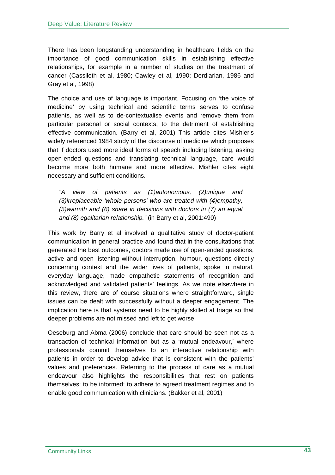There has been longstanding understanding in healthcare fields on the importance of good communication skills in establishing effective relationships, for example in a number of studies on the treatment of cancer (Cassileth et al, 1980; Cawley et al, 1990; Derdiarian, 1986 and Gray et al, 1998)

The choice and use of language is important. Focusing on 'the voice of medicine' by using technical and scientific terms serves to confuse patients, as well as to de-contextualise events and remove them from particular personal or social contexts, to the detriment of establishing effective communication. (Barry et al, 2001) This article cites Mishler's widely referenced 1984 study of the discourse of medicine which proposes that if doctors used more ideal forms of speech including listening, asking open-ended questions and translating technical language, care would become more both humane and more effective. Mishler cites eight necessary and sufficient conditions.

*"A view of patients as (1)autonomous, (2)unique and (3)irreplaceable 'whole persons' who are treated with (4)empathy, (5)warmth and (6) share in decisions with doctors in (7) an equal and (8) egalitarian relationship."* (in Barry et al, 2001:490)

This work by Barry et al involved a qualitative study of doctor-patient communication in general practice and found that in the consultations that generated the best outcomes, doctors made use of open-ended questions, active and open listening without interruption, humour, questions directly concerning context and the wider lives of patients, spoke in natural, everyday language, made empathetic statements of recognition and acknowledged and validated patients' feelings. As we note elsewhere in this review, there are of course situations where straightforward, single issues can be dealt with successfully without a deeper engagement. The implication here is that systems need to be highly skilled at triage so that deeper problems are not missed and left to get worse.

Oeseburg and Abma (2006) conclude that care should be seen not as a transaction of technical information but as a 'mutual endeavour,' where professionals commit themselves to an interactive relationship with patients in order to develop advice that is consistent with the patients' values and preferences. Referring to the process of care as a mutual endeavour also highlights the responsibilities that rest on patients themselves: to be informed; to adhere to agreed treatment regimes and to enable good communication with clinicians. (Bakker et al, 2001)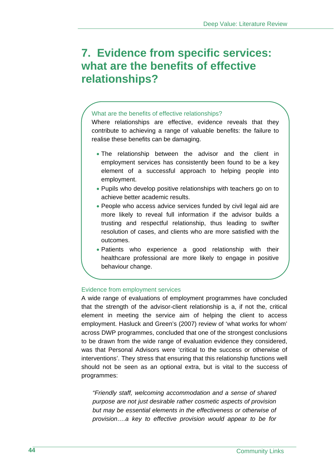## **7. Evidence from specific services: what are the benefits of effective relationships?**

#### What are the benefits of effective relationships?

Where relationships are effective, evidence reveals that they contribute to achieving a range of valuable benefits: the failure to realise these benefits can be damaging.

- The relationship between the advisor and the client in employment services has consistently been found to be a key element of a successful approach to helping people into employment.
- Pupils who develop positive relationships with teachers go on to achieve better academic results.
- People who access advice services funded by civil legal aid are more likely to reveal full information if the advisor builds a trusting and respectful relationship, thus leading to swifter resolution of cases, and clients who are more satisfied with the outcomes.
- Patients who experience a good relationship with their healthcare professional are more likely to engage in positive behaviour change.

#### Evidence from employment services

A wide range of evaluations of employment programmes have concluded that the strength of the advisor-client relationship is a, if not the, critical element in meeting the service aim of helping the client to access employment. Hasluck and Green's (2007) review of 'what works for whom' across DWP programmes, concluded that one of the strongest conclusions to be drawn from the wide range of evaluation evidence they considered, was that Personal Advisors were 'critical to the success or otherwise of interventions'. They stress that ensuring that this relationship functions well should not be seen as an optional extra, but is vital to the success of programmes:

*"Friendly staff, welcoming accommodation and a sense of shared purpose are not just desirable rather cosmetic aspects of provision but may be essential elements in the effectiveness or otherwise of provision….a key to effective provision would appear to be for*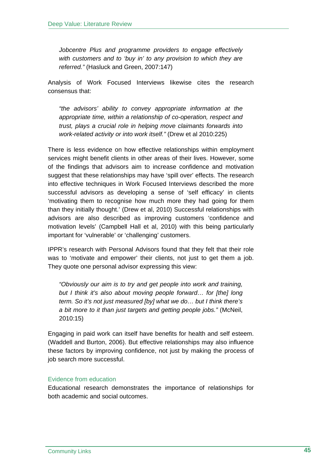*Jobcentre Plus and programme providers to engage effectively with customers and to 'buy in' to any provision to which they are referred."* (Hasluck and Green, 2007:147)

Analysis of Work Focused Interviews likewise cites the research consensus that:

*"the advisors' ability to convey appropriate information at the appropriate time, within a relationship of co-operation, respect and trust, plays a crucial role in helping move claimants forwards into work-related activity or into work itself."* (Drew et al 2010:225)

There is less evidence on how effective relationships within employment services might benefit clients in other areas of their lives. However, some of the findings that advisors aim to increase confidence and motivation suggest that these relationships may have 'spill over' effects. The research into effective techniques in Work Focused Interviews described the more successful advisors as developing a sense of 'self efficacy' in clients 'motivating them to recognise how much more they had going for them than they initially thought.' (Drew et al, 2010) Successful relationships with advisors are also described as improving customers 'confidence and motivation levels' (Campbell Hall et al, 2010) with this being particularly important for 'vulnerable' or 'challenging' customers.

IPPR's research with Personal Advisors found that they felt that their role was to 'motivate and empower' their clients, not just to get them a job. They quote one personal advisor expressing this view:

*"Obviously our aim is to try and get people into work and training, but I think it's also about moving people forward… for [the] long term. So it's not just measured [by] what we do… but I think there's a bit more to it than just targets and getting people jobs."* (McNeil, 2010:15)

Engaging in paid work can itself have benefits for health and self esteem. (Waddell and Burton, 2006). But effective relationships may also influence these factors by improving confidence, not just by making the process of job search more successful.

## Evidence from education

Educational research demonstrates the importance of relationships for both academic and social outcomes.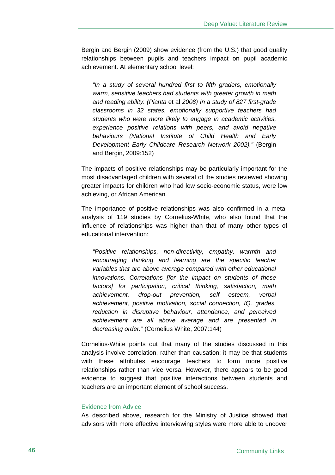Bergin and Bergin (2009) show evidence (from the U.S.) that good quality relationships between pupils and teachers impact on pupil academic achievement. At elementary school level:

*"In a study of several hundred first to fifth graders, emotionally warm, sensitive teachers had students with greater growth in math and reading ability. (Pianta* et al *2008) In a study of 827 first-grade classrooms in 32 states, emotionally supportive teachers had students who were more likely to engage in academic activities, experience positive relations with peers, and avoid negative behaviours (National Institute of Child Health and Early Development Early Childcare Research Network 2002)."* (Bergin and Bergin, 2009:152)

The impacts of positive relationships may be particularly important for the most disadvantaged children with several of the studies reviewed showing greater impacts for children who had low socio-economic status, were low achieving, or African American.

The importance of positive relationships was also confirmed in a metaanalysis of 119 studies by Cornelius-White, who also found that the influence of relationships was higher than that of many other types of educational intervention:

*"Positive relationships, non-directivity, empathy, warmth and encouraging thinking and learning are the specific teacher variables that are above average compared with other educational innovations. Correlations [for the impact on students of these factors] for participation, critical thinking, satisfaction, math achievement, drop-out prevention, self esteem, verbal achievement, positive motivation, social connection, IQ, grades, reduction in disruptive behaviour, attendance, and perceived achievement are all above average and are presented in decreasing order."* (Cornelius White, 2007:144)

Cornelius-White points out that many of the studies discussed in this analysis involve correlation, rather than causation; it may be that students with these attributes encourage teachers to form more positive relationships rather than vice versa. However, there appears to be good evidence to suggest that positive interactions between students and teachers are an important element of school success.

### Evidence from Advice

As described above, research for the Ministry of Justice showed that advisors with more effective interviewing styles were more able to uncover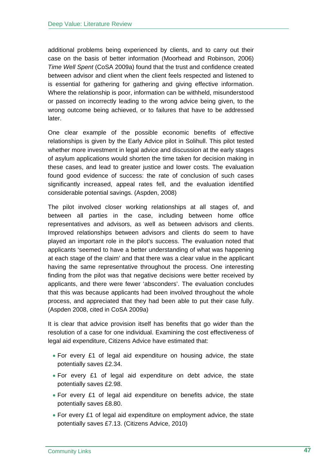additional problems being experienced by clients, and to carry out their case on the basis of better information (Moorhead and Robinson, 2006) *Time Well Spent* (CoSA 2009a) found that the trust and confidence created between advisor and client when the client feels respected and listened to is essential for gathering for gathering and giving effective information. Where the relationship is poor, information can be withheld, misunderstood or passed on incorrectly leading to the wrong advice being given, to the wrong outcome being achieved, or to failures that have to be addressed later.

One clear example of the possible economic benefits of effective relationships is given by the Early Advice pilot in Solihull. This pilot tested whether more investment in legal advice and discussion at the early stages of asylum applications would shorten the time taken for decision making in these cases, and lead to greater justice and lower costs. The evaluation found good evidence of success: the rate of conclusion of such cases significantly increased, appeal rates fell, and the evaluation identified considerable potential savings. (Aspden, 2008)

The pilot involved closer working relationships at all stages of, and between all parties in the case, including between home office representatives and advisors, as well as between advisors and clients. Improved relationships between advisors and clients do seem to have played an important role in the pilot's success. The evaluation noted that applicants 'seemed to have a better understanding of what was happening at each stage of the claim' and that there was a clear value in the applicant having the same representative throughout the process. One interesting finding from the pilot was that negative decisions were better received by applicants, and there were fewer 'absconders'. The evaluation concludes that this was because applicants had been involved throughout the whole process, and appreciated that they had been able to put their case fully. (Aspden 2008, cited in CoSA 2009a)

It is clear that advice provision itself has benefits that go wider than the resolution of a case for one individual. Examining the cost effectiveness of legal aid expenditure, Citizens Advice have estimated that:

- For every £1 of legal aid expenditure on housing advice, the state potentially saves £2.34.
- For every £1 of legal aid expenditure on debt advice, the state potentially saves £2.98.
- For every £1 of legal aid expenditure on benefits advice, the state potentially saves £8.80.
- For every £1 of legal aid expenditure on employment advice, the state potentially saves £7.13. (Citizens Advice, 2010)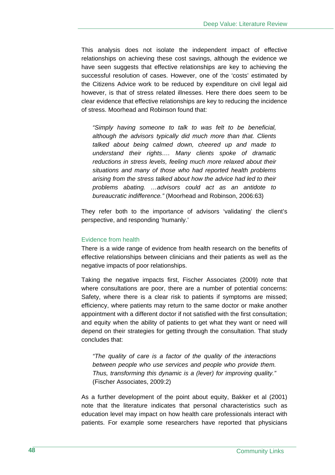This analysis does not isolate the independent impact of effective relationships on achieving these cost savings, although the evidence we have seen suggests that effective relationships are key to achieving the successful resolution of cases. However, one of the 'costs' estimated by the Citizens Advice work to be reduced by expenditure on civil legal aid however, is that of stress related illnesses. Here there does seem to be clear evidence that effective relationships are key to reducing the incidence of stress. Moorhead and Robinson found that:

*"Simply having someone to talk to was felt to be beneficial, although the advisors typically did much more than that. Clients talked about being calmed down, cheered up and made to understand their rights…. Many clients spoke of dramatic reductions in stress levels, feeling much more relaxed about their situations and many of those who had reported health problems arising from the stress talked about how the advice had led to their problems abating. …advisors could act as an antidote to bureaucratic indifference."* (Moorhead and Robinson, 2006:63)

They refer both to the importance of advisors 'validating' the client's perspective, and responding 'humanly.'

### Evidence from health

There is a wide range of evidence from health research on the benefits of effective relationships between clinicians and their patients as well as the negative impacts of poor relationships.

Taking the negative impacts first, Fischer Associates (2009) note that where consultations are poor, there are a number of potential concerns: Safety, where there is a clear risk to patients if symptoms are missed; efficiency, where patients may return to the same doctor or make another appointment with a different doctor if not satisfied with the first consultation; and equity when the ability of patients to get what they want or need will depend on their strategies for getting through the consultation. That study concludes that:

*"The quality of care is a factor of the quality of the interactions between people who use services and people who provide them. Thus, transforming this dynamic is a (lever) for improving quality."*  (Fischer Associates, 2009:2)

As a further development of the point about equity, Bakker et al (2001) note that the literature indicates that personal characteristics such as education level may impact on how health care professionals interact with patients. For example some researchers have reported that physicians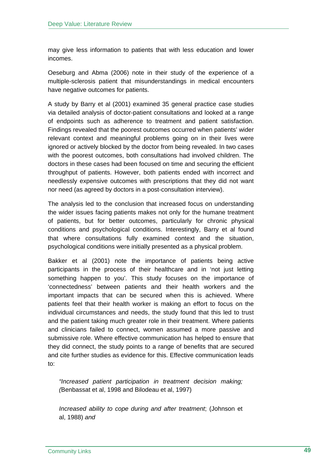may give less information to patients that with less education and lower incomes.

Oeseburg and Abma (2006) note in their study of the experience of a multiple-sclerosis patient that misunderstandings in medical encounters have negative outcomes for patients.

A study by Barry et al (2001) examined 35 general practice case studies via detailed analysis of doctor-patient consultations and looked at a range of endpoints such as adherence to treatment and patient satisfaction. Findings revealed that the poorest outcomes occurred when patients' wider relevant context and meaningful problems going on in their lives were ignored or actively blocked by the doctor from being revealed. In two cases with the poorest outcomes, both consultations had involved children. The doctors in these cases had been focused on time and securing the efficient throughput of patients. However, both patients ended with incorrect and needlessly expensive outcomes with prescriptions that they did not want nor need (as agreed by doctors in a post-consultation interview).

The analysis led to the conclusion that increased focus on understanding the wider issues facing patients makes not only for the humane treatment of patients, but for better outcomes, particularly for chronic physical conditions and psychological conditions. Interestingly, Barry et al found that where consultations fully examined context and the situation, psychological conditions were initially presented as a physical problem.

Bakker et al (2001) note the importance of patients being active participants in the process of their healthcare and in 'not just letting something happen to you'. This study focuses on the importance of 'connectedness' between patients and their health workers and the important impacts that can be secured when this is achieved. Where patients feel that their health worker is making an effort to focus on the individual circumstances and needs, the study found that this led to trust and the patient taking much greater role in their treatment. Where patients and clinicians failed to connect, women assumed a more passive and submissive role. Where effective communication has helped to ensure that they did connect, the study points to a range of benefits that are secured and cite further studies as evidence for this. Effective communication leads to:

*"Increased patient participation in treatment decision making; (*Benbassat et al, 1998 and Bilodeau et al, 1997)

*Increased ability to cope during and after treatment*; (Johnson et al, 1988) *and*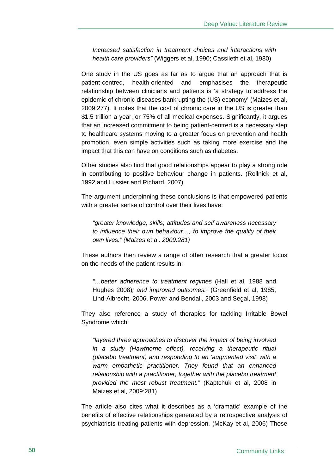*Increased satisfaction in treatment choices and interactions with health care providers"* (Wiggers et al, 1990; Cassileth et al, 1980)

One study in the US goes as far as to argue that an approach that is patient-centred, health-oriented and emphasises the therapeutic relationship between clinicians and patients is 'a strategy to address the epidemic of chronic diseases bankrupting the (US) economy' (Maizes et al, 2009:277). It notes that the cost of chronic care in the US is greater than \$1.5 trillion a year, or 75% of all medical expenses. Significantly, it argues that an increased commitment to being patient-centred is a necessary step to healthcare systems moving to a greater focus on prevention and health promotion, even simple activities such as taking more exercise and the impact that this can have on conditions such as diabetes.

Other studies also find that good relationships appear to play a strong role in contributing to positive behaviour change in patients. (Rollnick et al, 1992 and Lussier and Richard, 2007)

The argument underpinning these conclusions is that empowered patients with a greater sense of control over their lives have:

*"greater knowledge, skills, attitudes and self awareness necessary to influence their own behaviour…, to improve the quality of their own lives." (Maizes* et al*, 2009:281)* 

These authors then review a range of other research that a greater focus on the needs of the patient results in:

*"…better adherence to treatment regimes* (Hall et al, 1988 and Hughes 2008)*; and improved outcomes."* (Greenfield et al, 1985, Lind-Albrecht, 2006, Power and Bendall, 2003 and Segal, 1998)

They also reference a study of therapies for tackling Irritable Bowel Syndrome which:

*"layered three approaches to discover the impact of being involved in a study (Hawthorne effect), receiving a therapeutic ritual (placebo treatment) and responding to an 'augmented visit' with a warm empathetic practitioner. They found that an enhanced relationship with a practitioner, together with the placebo treatment provided the most robust treatment."* (Kaptchuk et al, 2008 in Maizes et al, 2009:281)

The article also cites what it describes as a 'dramatic' example of the benefits of effective relationships generated by a retrospective analysis of psychiatrists treating patients with depression. (McKay et al, 2006) Those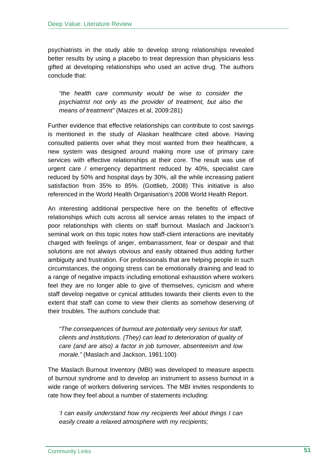psychiatrists in the study able to develop strong relationships revealed better results by using a placebo to treat depression than physicians less gifted at developing relationships who used an active drug. The authors conclude that:

*"the health care community would be wise to consider the psychiatrist not only as the provider of treatment, but also the means of treatment"* (Maizes et al, 2009:281)

Further evidence that effective relationships can contribute to cost savings is mentioned in the study of Alaskan healthcare cited above. Having consulted patients over what they most wanted from their healthcare, a new system was designed around making more use of primary care services with effective relationships at their core. The result was use of urgent care / emergency department reduced by 40%, specialist care reduced by 50% and hospital days by 30%, all the while increasing patient satisfaction from 35% to 85%. (Gottlieb, 2008) This initiative is also referenced in the World Health Organisation's 2008 World Health Report.

An interesting additional perspective here on the benefits of effective relationships which cuts across all service areas relates to the impact of poor relationships with clients on staff burnout. Maslach and Jackson's seminal work on this topic notes how staff-client interactions are inevitably charged with feelings of anger, embarrassment, fear or despair and that solutions are not always obvious and easily obtained thus adding further ambiguity and frustration. For professionals that are helping people in such circumstances, the ongoing stress can be emotionally draining and lead to a range of negative impacts including emotional exhaustion where workers feel they are no longer able to give of themselves, cynicism and where staff develop negative or cynical attitudes towards their clients even to the extent that staff can come to view their clients as somehow deserving of their troubles. The authors conclude that:

*"The consequences of burnout are potentially very serious for staff, clients and institutions. (They) can lead to deterioration of quality of care (and are also) a factor in job turnover, absenteeism and low morale."* (Maslach and Jackson, 1981:100)

The Maslach Burnout Inventory (MBI) was developed to measure aspects of burnout syndrome and to develop an instrument to assess burnout in a wide range of workers delivering services. The MBI invites respondents to rate how they feel about a number of statements including:

*'I can easily understand how my recipients feel about things I can easily create a relaxed atmosphere with my recipients;*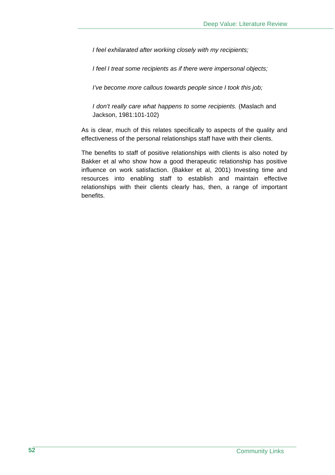*I feel exhilarated after working closely with my recipients;* 

*I feel I treat some recipients as if there were impersonal objects;* 

*I've become more callous towards people since I took this job;* 

*I don't really care what happens to some recipients.* (Maslach and Jackson, 1981:101-102)

As is clear, much of this relates specifically to aspects of the quality and effectiveness of the personal relationships staff have with their clients.

The benefits to staff of positive relationships with clients is also noted by Bakker et al who show how a good therapeutic relationship has positive influence on work satisfaction. (Bakker et al, 2001) Investing time and resources into enabling staff to establish and maintain effective relationships with their clients clearly has, then, a range of important benefits.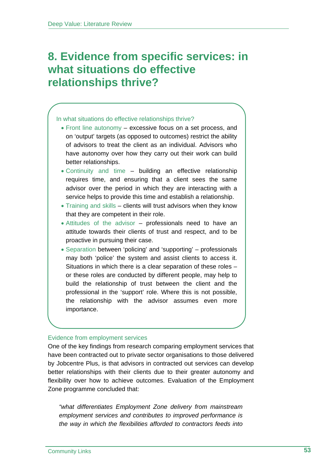## **8. Evidence from specific services: in what situations do effective relationships thrive?**

## In what situations do effective relationships thrive?

- Front line autonomy excessive focus on a set process, and on 'output' targets (as opposed to outcomes) restrict the ability of advisors to treat the client as an individual. Advisors who have autonomy over how they carry out their work can build better relationships.
- Continuity and time building an effective relationship requires time, and ensuring that a client sees the same advisor over the period in which they are interacting with a service helps to provide this time and establish a relationship.
- Training and skills clients will trust advisors when they know that they are competent in their role.
- Attitudes of the advisor professionals need to have an attitude towards their clients of trust and respect, and to be proactive in pursuing their case.
- Separation between 'policing' and 'supporting' professionals may both 'police' the system and assist clients to access it. Situations in which there is a clear separation of these roles – or these roles are conducted by different people, may help to build the relationship of trust between the client and the professional in the 'support' role. Where this is not possible, the relationship with the advisor assumes even more importance.

## Evidence from employment services

One of the key findings from research comparing employment services that have been contracted out to private sector organisations to those delivered by Jobcentre Plus, is that advisors in contracted out services can develop better relationships with their clients due to their greater autonomy and flexibility over how to achieve outcomes. Evaluation of the Employment Zone programme concluded that:

*"what differentiates Employment Zone delivery from mainstream employment services and contributes to improved performance is the way in which the flexibilities afforded to contractors feeds into*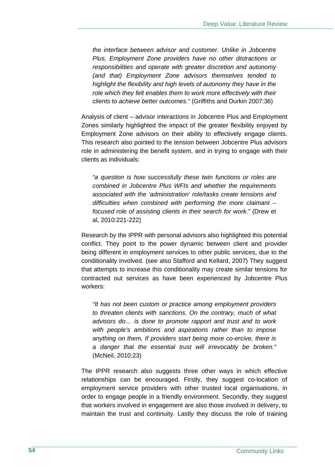*the interface between advisor and customer. Unlike in Jobcentre Plus, Employment Zone providers have no other distractions or responsibilities and operate with greater discretion and autonomy (and that) Employment Zone advisors themselves tended to highlight the flexibility and high levels of autonomy they have in the role which they felt enables them to work more effectively with their clients to achieve better outcomes."* (Griffiths and Durkin 2007:36)

Analysis of client – advisor interactions in Jobcentre Plus and Employment Zones similarly highlighted the impact of the greater flexibility enjoyed by Employment Zone advisors on their ability to effectively engage clients. This research also pointed to the tension between Jobcentre Plus advisors role in administering the benefit system, and in trying to engage with their clients as individuals:

*"a question is how successfully these twin functions or roles are combined in Jobcentre Plus WFIs and whether the requirements associated with the 'administration' role/tasks create tensions and difficulties when combined with performing the more claimant – focused role of assisting clients in their search for work."* (Drew et al, 2010:221-222)

Research by the IPPR with personal advisors also highlighted this potential conflict. They point to the power dynamic between client and provider being different in employment services to other public services, due to the conditionality involved. (see also Stafford and Kellard, 2007) They suggest that attempts to increase this conditionality may create similar tensions for contracted out services as have been experienced by Jobcentre Plus workers:

*"It has not been custom or practice among employment providers to threaten clients with sanctions. On the contrary, much of what advisors do… is done to promote rapport and trust and to work with people's ambitions and aspirations rather than to impose anything on them. If providers start being more co-ercive, there is a danger that the essential trust will irrevocably be broken."*  (McNeil, 2010:23)

The IPPR research also suggests three other ways in which effective relationships can be encouraged. Firstly, they suggest co-location of employment service providers with other trusted local organisations, in order to engage people in a friendly environment. Secondly, they suggest that workers involved in engagement are also those involved in delivery, to maintain the trust and continuity. Lastly they discuss the role of training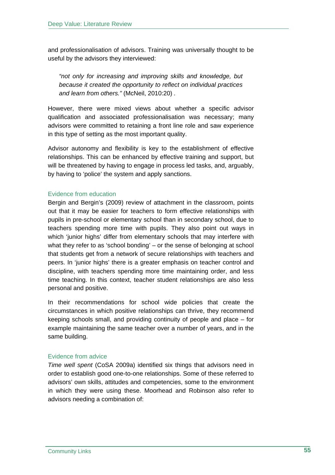and professionalisation of advisors. Training was universally thought to be useful by the advisors they interviewed:

*"not only for increasing and improving skills and knowledge, but because it created the opportunity to reflect on individual practices and learn from others."* (McNeil, 2010:20) *.* 

However, there were mixed views about whether a specific advisor qualification and associated professionalisation was necessary; many advisors were committed to retaining a front line role and saw experience in this type of setting as the most important quality.

Advisor autonomy and flexibility is key to the establishment of effective relationships. This can be enhanced by effective training and support, but will be threatened by having to engage in process led tasks, and, arguably, by having to 'police' the system and apply sanctions.

## Evidence from education

Bergin and Bergin's (2009) review of attachment in the classroom, points out that it may be easier for teachers to form effective relationships with pupils in pre-school or elementary school than in secondary school, due to teachers spending more time with pupils. They also point out ways in which 'junior highs' differ from elementary schools that may interfere with what they refer to as 'school bonding' – or the sense of belonging at school that students get from a network of secure relationships with teachers and peers. In 'junior highs' there is a greater emphasis on teacher control and discipline, with teachers spending more time maintaining order, and less time teaching. In this context, teacher student relationships are also less personal and positive.

In their recommendations for school wide policies that create the circumstances in which positive relationships can thrive, they recommend keeping schools small, and providing continuity of people and place – for example maintaining the same teacher over a number of years, and in the same building.

## Evidence from advice

*Time well spent* (CoSA 2009a) identified six things that advisors need in order to establish good one-to-one relationships. Some of these referred to advisors' own skills, attitudes and competencies, some to the environment in which they were using these. Moorhead and Robinson also refer to advisors needing a combination of: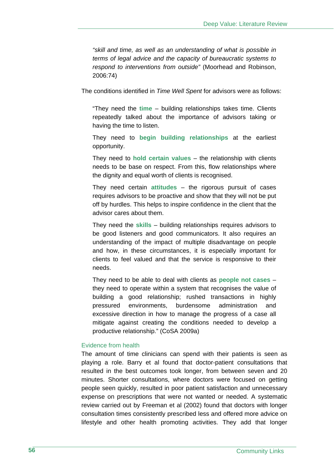*"skill and time, as well as an understanding of what is possible in terms of legal advice and the capacity of bureaucratic systems to respond to interventions from outside"* (Moorhead and Robinson, 2006:74)

The conditions identified in *Time Well Spent* for advisors were as follows:

"They need the **time** – building relationships takes time. Clients repeatedly talked about the importance of advisors taking or having the time to listen.

They need to **begin building relationships** at the earliest opportunity.

They need to **hold certain values** – the relationship with clients needs to be base on respect. From this, flow relationships where the dignity and equal worth of clients is recognised.

They need certain **attitudes** – the rigorous pursuit of cases requires advisors to be proactive and show that they will not be put off by hurdles. This helps to inspire confidence in the client that the advisor cares about them.

They need the **skills** – building relationships requires advisors to be good listeners and good communicators. It also requires an understanding of the impact of multiple disadvantage on people and how, in these circumstances, it is especially important for clients to feel valued and that the service is responsive to their needs.

They need to be able to deal with clients as **people not cases** – they need to operate within a system that recognises the value of building a good relationship; rushed transactions in highly pressured environments, burdensome administration and excessive direction in how to manage the progress of a case all mitigate against creating the conditions needed to develop a productive relationship." (CoSA 2009a)

#### Evidence from health

The amount of time clinicians can spend with their patients is seen as playing a role. Barry et al found that doctor-patient consultations that resulted in the best outcomes took longer, from between seven and 20 minutes. Shorter consultations, where doctors were focused on getting people seen quickly, resulted in poor patient satisfaction and unnecessary expense on prescriptions that were not wanted or needed. A systematic review carried out by Freeman et al (2002) found that doctors with longer consultation times consistently prescribed less and offered more advice on lifestyle and other health promoting activities. They add that longer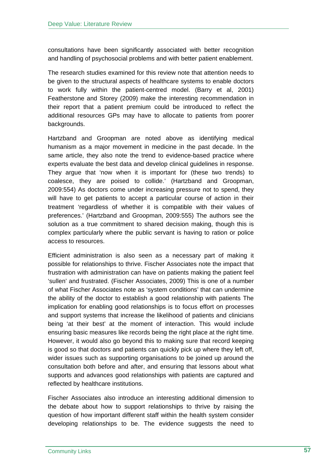consultations have been significantly associated with better recognition and handling of psychosocial problems and with better patient enablement.

The research studies examined for this review note that attention needs to be given to the structural aspects of healthcare systems to enable doctors to work fully within the patient-centred model. (Barry et al, 2001) Featherstone and Storey (2009) make the interesting recommendation in their report that a patient premium could be introduced to reflect the additional resources GPs may have to allocate to patients from poorer backgrounds.

Hartzband and Groopman are noted above as identifying medical humanism as a major movement in medicine in the past decade. In the same article, they also note the trend to evidence-based practice where experts evaluate the best data and develop clinical guidelines in response. They argue that 'now when it is important for (these two trends) to coalesce, they are poised to collide.' (Hartzband and Groopman, 2009:554) As doctors come under increasing pressure not to spend, they will have to get patients to accept a particular course of action in their treatment 'regardless of whether it is compatible with their values of preferences.' (Hartzband and Groopman, 2009:555) The authors see the solution as a true commitment to shared decision making, though this is complex particularly where the public servant is having to ration or police access to resources.

Efficient administration is also seen as a necessary part of making it possible for relationships to thrive. Fischer Associates note the impact that frustration with administration can have on patients making the patient feel 'sullen' and frustrated. (Fischer Associates, 2009) This is one of a number of what Fischer Associates note as 'system conditions' that can undermine the ability of the doctor to establish a good relationship with patients The implication for enabling good relationships is to focus effort on processes and support systems that increase the likelihood of patients and clinicians being 'at their best' at the moment of interaction. This would include ensuring basic measures like records being the right place at the right time. However, it would also go beyond this to making sure that record keeping is good so that doctors and patients can quickly pick up where they left off, wider issues such as supporting organisations to be joined up around the consultation both before and after, and ensuring that lessons about what supports and advances good relationships with patients are captured and reflected by healthcare institutions.

Fischer Associates also introduce an interesting additional dimension to the debate about how to support relationships to thrive by raising the question of how important different staff within the health system consider developing relationships to be. The evidence suggests the need to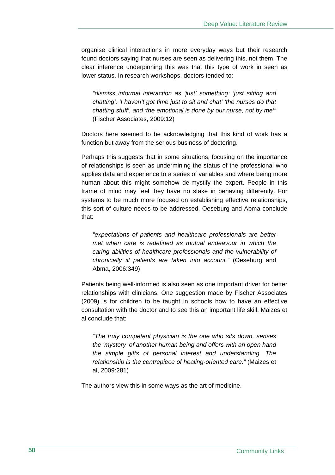organise clinical interactions in more everyday ways but their research found doctors saying that nurses are seen as delivering this, not them. The clear inference underpinning this was that this type of work in seen as lower status. In research workshops, doctors tended to:

*"dismiss informal interaction as 'just' something: 'just sitting and chatting', 'I haven't got time just to sit and chat' 'the nurses do that chatting stuff', and 'the emotional is done by our nurse, not by me'"*  (Fischer Associates, 2009:12)

Doctors here seemed to be acknowledging that this kind of work has a function but away from the serious business of doctoring.

Perhaps this suggests that in some situations, focusing on the importance of relationships is seen as undermining the status of the professional who applies data and experience to a series of variables and where being more human about this might somehow de-mystify the expert. People in this frame of mind may feel they have no stake in behaving differently. For systems to be much more focused on establishing effective relationships, this sort of culture needs to be addressed. Oeseburg and Abma conclude that:

*"expectations of patients and healthcare professionals are better met when care is redefined as mutual endeavour in which the caring abilities of healthcare professionals and the vulnerability of chronically ill patients are taken into account."* (Oeseburg and Abma, 2006:349)

Patients being well-informed is also seen as one important driver for better relationships with clinicians. One suggestion made by Fischer Associates (2009) is for children to be taught in schools how to have an effective consultation with the doctor and to see this an important life skill. Maizes et al conclude that:

*"The truly competent physician is the one who sits down, senses the 'mystery' of another human being and offers with an open hand the simple gifts of personal interest and understanding. The relationship is the centrepiece of healing-oriented care."* (Maizes et al, 2009:281)

The authors view this in some ways as the art of medicine.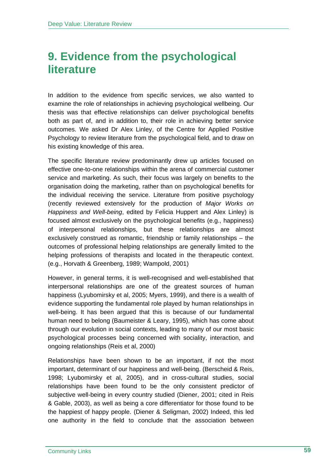## **9. Evidence from the psychological literature**

In addition to the evidence from specific services, we also wanted to examine the role of relationships in achieving psychological wellbeing. Our thesis was that effective relationships can deliver psychological benefits both as part of, and in addition to, their role in achieving better service outcomes. We asked Dr Alex Linley, of the Centre for Applied Positive Psychology to review literature from the psychological field, and to draw on his existing knowledge of this area.

The specific literature review predominantly drew up articles focused on effective one-to-one relationships within the arena of commercial customer service and marketing. As such, their focus was largely on benefits to the organisation doing the marketing, rather than on psychological benefits for the individual receiving the service. Literature from positive psychology (recently reviewed extensively for the production of *Major Works on Happiness and Well-being*, edited by Felicia Huppert and Alex Linley) is focused almost exclusively on the psychological benefits (e.g., happiness) of interpersonal relationships, but these relationships are almost exclusively construed as romantic, friendship or family relationships – the outcomes of professional helping relationships are generally limited to the helping professions of therapists and located in the therapeutic context. (e.g., Horvath & Greenberg, 1989; Wampold, 2001)

However, in general terms, it is well-recognised and well-established that interpersonal relationships are one of the greatest sources of human happiness (Lyubomirsky et al, 2005; Myers, 1999), and there is a wealth of evidence supporting the fundamental role played by human relationships in well-being. It has been argued that this is because of our fundamental human need to belong (Baumeister & Leary, 1995), which has come about through our evolution in social contexts, leading to many of our most basic psychological processes being concerned with sociality, interaction, and ongoing relationships (Reis et al, 2000)

Relationships have been shown to be an important, if not the most important, determinant of our happiness and well-being. (Berscheid & Reis, 1998; Lyubomirsky et al, 2005), and in cross-cultural studies, social relationships have been found to be the only consistent predictor of subjective well-being in every country studied (Diener, 2001; cited in Reis & Gable, 2003), as well as being a core differentiator for those found to be the happiest of happy people. (Diener & Seligman, 2002) Indeed, this led one authority in the field to conclude that the association between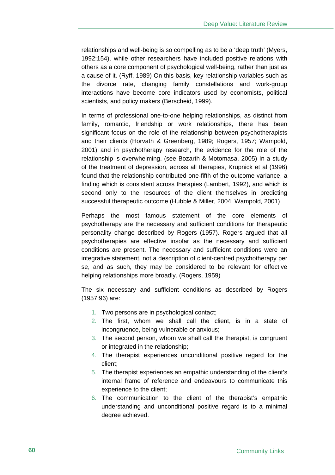relationships and well-being is so compelling as to be a 'deep truth' (Myers, 1992:154), while other researchers have included positive relations with others as a core component of psychological well-being, rather than just as a cause of it. (Ryff, 1989) On this basis, key relationship variables such as the divorce rate, changing family constellations and work-group interactions have become core indicators used by economists, political scientists, and policy makers (Berscheid, 1999).

In terms of professional one-to-one helping relationships, as distinct from family, romantic, friendship or work relationships, there has been significant focus on the role of the relationship between psychotherapists and their clients (Horvath & Greenberg, 1989; Rogers, 1957; Wampold, 2001) and in psychotherapy research, the evidence for the role of the relationship is overwhelming. (see Bozarth & Motomasa, 2005) In a study of the treatment of depression, across all therapies, Krupnick et al (1996) found that the relationship contributed one-fifth of the outcome variance, a finding which is consistent across therapies (Lambert, 1992), and which is second only to the resources of the client themselves in predicting successful therapeutic outcome (Hubble & Miller, 2004; Wampold, 2001)

Perhaps the most famous statement of the core elements of psychotherapy are the necessary and sufficient conditions for therapeutic personality change described by Rogers (1957). Rogers argued that all psychotherapies are effective insofar as the necessary and sufficient conditions are present. The necessary and sufficient conditions were an integrative statement, not a description of client-centred psychotherapy per se, and as such, they may be considered to be relevant for effective helping relationships more broadly. (Rogers, 1959)

The six necessary and sufficient conditions as described by Rogers (1957:96) are:

- 1. Two persons are in psychological contact;
- 2. The first, whom we shall call the client, is in a state of incongruence, being vulnerable or anxious;
- 3. The second person, whom we shall call the therapist, is congruent or integrated in the relationship;
- 4. The therapist experiences unconditional positive regard for the client;
- 5. The therapist experiences an empathic understanding of the client's internal frame of reference and endeavours to communicate this experience to the client;
- 6. The communication to the client of the therapist's empathic understanding and unconditional positive regard is to a minimal degree achieved.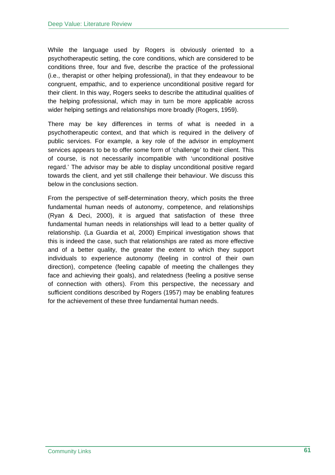While the language used by Rogers is obviously oriented to a psychotherapeutic setting, the core conditions, which are considered to be conditions three, four and five, describe the practice of the professional (i.e., therapist or other helping professional), in that they endeavour to be congruent, empathic, and to experience unconditional positive regard for their client. In this way, Rogers seeks to describe the attitudinal qualities of the helping professional, which may in turn be more applicable across wider helping settings and relationships more broadly (Rogers, 1959).

There may be key differences in terms of what is needed in a psychotherapeutic context, and that which is required in the delivery of public services. For example, a key role of the advisor in employment services appears to be to offer some form of 'challenge' to their client. This of course, is not necessarily incompatible with 'unconditional positive regard.' The advisor may be able to display unconditional positive regard towards the client, and yet still challenge their behaviour. We discuss this below in the conclusions section.

From the perspective of self-determination theory, which posits the three fundamental human needs of autonomy, competence, and relationships (Ryan & Deci, 2000), it is argued that satisfaction of these three fundamental human needs in relationships will lead to a better quality of relationship. (La Guardia et al, 2000) Empirical investigation shows that this is indeed the case, such that relationships are rated as more effective and of a better quality, the greater the extent to which they support individuals to experience autonomy (feeling in control of their own direction), competence (feeling capable of meeting the challenges they face and achieving their goals), and relatedness (feeling a positive sense of connection with others). From this perspective, the necessary and sufficient conditions described by Rogers (1957) may be enabling features for the achievement of these three fundamental human needs.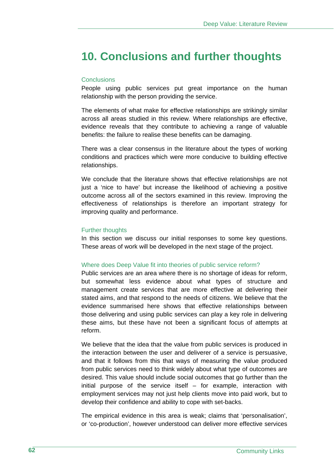## **10. Conclusions and further thoughts**

#### **Conclusions**

People using public services put great importance on the human relationship with the person providing the service.

The elements of what make for effective relationships are strikingly similar across all areas studied in this review. Where relationships are effective, evidence reveals that they contribute to achieving a range of valuable benefits: the failure to realise these benefits can be damaging.

There was a clear consensus in the literature about the types of working conditions and practices which were more conducive to building effective relationships.

We conclude that the literature shows that effective relationships are not just a 'nice to have' but increase the likelihood of achieving a positive outcome across all of the sectors examined in this review. Improving the effectiveness of relationships is therefore an important strategy for improving quality and performance.

#### Further thoughts

In this section we discuss our initial responses to some key questions. These areas of work will be developed in the next stage of the project.

#### Where does Deep Value fit into theories of public service reform?

Public services are an area where there is no shortage of ideas for reform, but somewhat less evidence about what types of structure and management create services that are more effective at delivering their stated aims, and that respond to the needs of citizens. We believe that the evidence summarised here shows that effective relationships between those delivering and using public services can play a key role in delivering these aims, but these have not been a significant focus of attempts at reform.

We believe that the idea that the value from public services is produced in the interaction between the user and deliverer of a service is persuasive, and that it follows from this that ways of measuring the value produced from public services need to think widely about what type of outcomes are desired. This value should include social outcomes that go further than the initial purpose of the service itself – for example, interaction with employment services may not just help clients move into paid work, but to develop their confidence and ability to cope with set-backs.

The empirical evidence in this area is weak; claims that 'personalisation', or 'co-production', however understood can deliver more effective services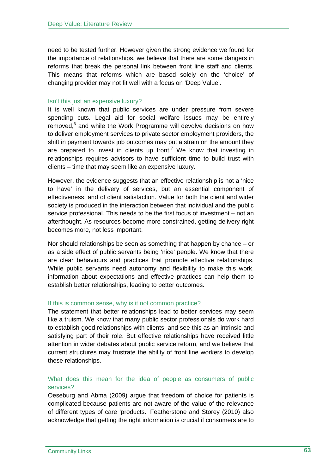need to be tested further. However given the strong evidence we found for the importance of relationships, we believe that there are some dangers in reforms that break the personal link between front line staff and clients. This means that reforms which are based solely on the 'choice' of changing provider may not fit well with a focus on 'Deep Value'.

### Isn't this just an expensive luxury?

It is well known that public services are under pressure from severe spending cuts. Legal aid for social welfare issues may be entirely removed,<sup>6</sup> and while the Work Programme will devolve decisions on how to deliver employment services to private sector employment providers, the shift in payment towards job outcomes may put a strain on the amount they are prepared to invest in clients up front.<sup>7</sup> We know that investing in relationships requires advisors to have sufficient time to build trust with clients – time that may seem like an expensive luxury.

However, the evidence suggests that an effective relationship is not a 'nice to have' in the delivery of services, but an essential component of effectiveness, and of client satisfaction. Value for both the client and wider society is produced in the interaction between that individual and the public service professional. This needs to be the first focus of investment – not an afterthought. As resources become more constrained, getting delivery right becomes more, not less important.

Nor should relationships be seen as something that happen by chance – or as a side effect of public servants being 'nice' people. We know that there are clear behaviours and practices that promote effective relationships. While public servants need autonomy and flexibility to make this work, information about expectations and effective practices can help them to establish better relationships, leading to better outcomes.

#### If this is common sense, why is it not common practice?

The statement that better relationships lead to better services may seem like a truism. We know that many public sector professionals do work hard to establish good relationships with clients, and see this as an intrinsic and satisfying part of their role. But effective relationships have received little attention in wider debates about public service reform, and we believe that current structures may frustrate the ability of front line workers to develop these relationships.

## What does this mean for the idea of people as consumers of public services?

Oeseburg and Abma (2009) argue that freedom of choice for patients is complicated because patients are not aware of the value of the relevance of different types of care 'products.' Featherstone and Storey (2010) also acknowledge that getting the right information is crucial if consumers are to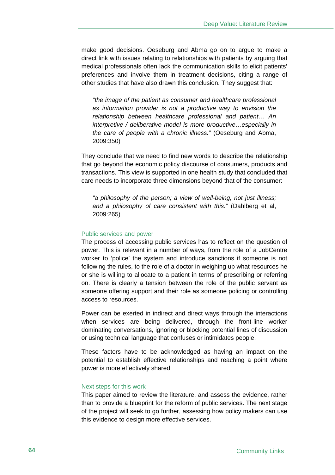make good decisions. Oeseburg and Abma go on to argue to make a direct link with issues relating to relationships with patients by arguing that medical professionals often lack the communication skills to elicit patients' preferences and involve them in treatment decisions, citing a range of other studies that have also drawn this conclusion. They suggest that:

*"the image of the patient as consumer and healthcare professional as information provider is not a productive way to envision the relationship between healthcare professional and patient… An interpretive / deliberative model is more productive…especially in the care of people with a chronic illness."* (Oeseburg and Abma, 2009:350)

They conclude that we need to find new words to describe the relationship that go beyond the economic policy discourse of consumers, products and transactions. This view is supported in one health study that concluded that care needs to incorporate three dimensions beyond that of the consumer:

*"a philosophy of the person; a view of well-being, not just illness; and a philosophy of care consistent with this."* (Dahlberg et al, 2009:265)

#### Public services and power

The process of accessing public services has to reflect on the question of power. This is relevant in a number of ways, from the role of a JobCentre worker to 'police' the system and introduce sanctions if someone is not following the rules, to the role of a doctor in weighing up what resources he or she is willing to allocate to a patient in terms of prescribing or referring on. There is clearly a tension between the role of the public servant as someone offering support and their role as someone policing or controlling access to resources.

Power can be exerted in indirect and direct ways through the interactions when services are being delivered, through the front-line worker dominating conversations, ignoring or blocking potential lines of discussion or using technical language that confuses or intimidates people.

These factors have to be acknowledged as having an impact on the potential to establish effective relationships and reaching a point where power is more effectively shared.

#### Next steps for this work

This paper aimed to review the literature, and assess the evidence, rather than to provide a blueprint for the reform of public services. The next stage of the project will seek to go further, assessing how policy makers can use this evidence to design more effective services.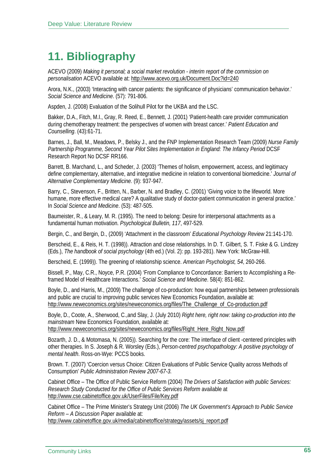# **11. Bibliography**

ACEVO (2009) *Making it personal; a social market revolution - interim report of the commission on personalisation* ACEVO available at: http://www.acevo.org.uk/Document.Doc?id=240

Arora, N.K., (2003) 'Interacting with cancer patients: the significance of physicians' communication behavior.' *Social Science and Medicine*. (57): 791-806.

Aspden, J. (2008) Evaluation of the Solihull Pilot for the UKBA and the LSC.

Bakker, D.A., Fitch, M.I., Gray, R. Reed, E., Bennett, J. (2001) 'Patient-health care provider communication during chemotherapy treatment: the perspectives of women with breast cancer.' *Patient Education and Counselling*. (43):61-71.

Barnes, J., Ball, M., Meadows, P., Belsky J., and the FNP Implementation Research Team (2009) *Nurse Family*  Partnership Programme, Second Year Pilot Sites Implementation in England: The Infancy Period DCSF Research Report No DCSF RR166.

Barrett, B. Marchand, L., and Scheder, J. (2003) 'Themes of holism, empowerment, access, and legitimacy define complementary, alternative, and integrative medicine in relation to conventional biomedicine.' *Journal of Alternative Complementary Medicine.* (9): 937-947.

Barry, C., Stevenson, F., Britten, N., Barber, N. and Bradley, C. (2001) 'Giving voice to the lifeworld. More humane, more effective medical care? A qualitative study of doctor-patient communication in general practice.' In *Social Science and Medicine*. (53): 487-505.

Baumeister, R., & Leary, M. R. (1995). The need to belong: Desire for interpersonal attachments as a fundamental human motivation. *Psychological Bulletin, 117*, 497-529.

Bergin, C., and Bergin, D., (2009) 'Attachment in the classroom' *Educational Psychology Review* 21:141-170.

Berscheid, E., & Reis, H. T. (1998)). Attraction and close relationships. In D. T. Gilbert, S. T. Fiske & G. Lindzey (Eds.), *The handbook of social psychology* (4th ed.) (Vol. 2): pp. 193-281). New York: McGraw-Hill.

Berscheid, E. (1999)). The greening of relationship science. *American Psychologist, 54*, 260-266.

Bissell, P., May, C.R., Noyce, P.R. (2004) 'From Compliance to Concordance: Barriers to Accomplishing a Reframed Model of Healthcare Interactions.' *Social Science and Medicine*. 58(4): 851-862.

Boyle, D., and Harris, M., (2009) The challenge of co-production: how equal partnerships between professionals and public are crucial to improving public services New Economics Foundation, available at: http://www.neweconomics.org/sites/neweconomics.org/files/The\_Challenge\_of\_Co-production.pdf

Boyle, D., Coote, A., Sherwood, C.,and Slay, J. (July 2010) *Right here, right now: taking co-production into the mainstream* New Economics Foundation, available at:

http://www.neweconomics.org/sites/neweconomics.org/files/Right\_Here\_Right\_Now.pdf

Bozarth, J. D., & Motomasa, N. (2005)). Searching for the core: The interface of client -centered principles with other therapies. In S. Joseph & R. Worsley (Eds.), *Person-centred psychopathology: A positive psychology of mental health*. Ross-on-Wye: PCCS books.

Brown. T. (2007) 'Coercion versus Choice: Citizen Evaluations of Public Service Quality across Methods of Consumption' *Public Administration Review 2007-67-3.*

Cabinet Office – The Office of Public Service Reform (2004) *The Drivers of Satisfaction with public Services: Research Study Conducted for the Office of Public Services Reform* available at http://www.cse.cabinetoffice.gov.uk/UserFiles/File/Key.pdf

Cabinet Office – The Prime Minister's Strategy Unit (2006) *The UK Government's Approach to Public Service Reform – A Discussion Paper* available at: http://www.cabinetoffice.gov.uk/media/cabinetoffice/strategy/assets/sj\_report.pdf

Community Links **65**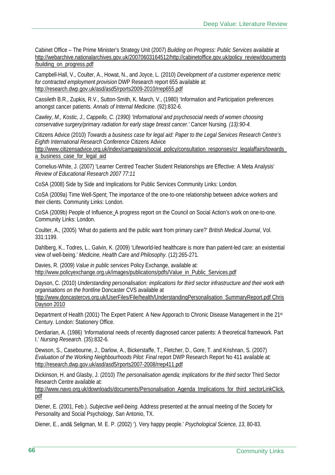Cabinet Office – The Prime Minister's Strategy Unit (2007) *Building on Progress: Public Services* available at http://webarchive.nationalarchives.gov.uk/20070603164512/http://cabinetoffice.gov.uk/policy\_review/documents /building\_on\_progress.pdf

Campbell-Hall, V., Coulter, A., Howat, N., and Joyce, L. (2010) *Development of a customer experience metric for contracted employment provision* DWP Research report 655 available at: http://research.dwp.gov.uk/asd/asd5/rports2009-2010/rrep655.pdf

Cassileth B.R., Zupkis, R.V., Sutton-Smith, K. March, V., (1980) 'Information and Participation preferences amongst cancer patients. *Annals of Internal Medicine*. (92):832-6.

*Cawley, M., Kostic, J., Cappello, C. (1990) 'Informational and psychosocial needs of women choosing conservative surgery/primary radiation for early stage breast cancer.'* Cancer Nursing*. (13):90-4.* 

Citizens Advice (2010) *Towards a business case for legal aid: Paper to the Legal Services Research Centre's Eighth International Research Conference* Citizens Advice

http://www.citizensadvice.org.uk/index/campaigns/social\_policy/consultation\_responses/cr\_legalaffairs/towards a business case for legal aid

Cornelius-White, J. (2007) 'Learner Centred Teacher Student Relationships are Effective: A Meta Analysis' *Review of Educational Research 2007 77:11*

CoSA (2008) Side by Side and Implications for Public Services Community Links: London.

CoSA (2009a) Time Well-Spent; The importance of the one-to-one relationship between advice workers and their clients. Community Links: London.

CoSA (2009b) People of Influence; A progress report on the Council on Social Action's work on one-to-one. Community Links: London.

Coulter, A., (2005) 'What do patients and the public want from primary care?' *British Medical Journal*, Vol. 331:1199.

Dahlberg, K., Todres, L., Galvin, K. (2009) 'Lifeworld-led healthcare is more than patient-led care: an existential view of well-being.' *Medicine, Health Care and Philosophy*. (12):265-271.

Davies, R. (2009) *Value in public services* Policy Exchange, available at: http://www.policyexchange.org.uk/images/publications/pdfs/Value\_in\_Public\_Services.pdf

Dayson, C. (2010) *Understanding personalisation: implications for third sector infrastructure and their work with organisations on the frontline* Doncaster CVS available at

http://www.doncastercvs.org.uk/UserFiles/File/health/UnderstandingPersonalisation\_SummaryReport.pdf Chris Dayson 2010

Department of Health (2001) The Expert Patient: A New Apporach to Chronic Disease Management in the 21st Century. London: Stationery Office.

Derdiarian, A. (1986) 'Informational needs of recently diagnosed cancer patients: A theoretical framework. Part I.' *Nursing Research*. (35):832-6.

Dewson, S., Casebourne, J., Darlow, A., Bickerstaffe, T., Fletcher, D., Gore, T. and Krishnan, S. (2007) *Evaluation of the Working Neighbourhoods Pilot: Final* report DWP Research Report No 411 available at: http://research.dwp.gov.uk/asd/asd5/rports2007-2008/rrep411.pdf

Dickinson, H. and Glasby, J. (2010) *The personalisation agenda; implications for the third sector* Third Sector Research Centre available at:

http://www.navo.org.uk/downloads/documents/Personalisation\_Agenda\_Implications\_for\_third\_sectorLinkClick. pdf

Diener, E. (2001, Feb.). *Subjective well-being*. Address presented at the annual meeting of the Society for Personality and Social Psychology, San Antonio, TX.

Diener, E., and& Seligman, M. E. P. (2002) '). Very happy people.' *Psychological Science, 13*, 80-83.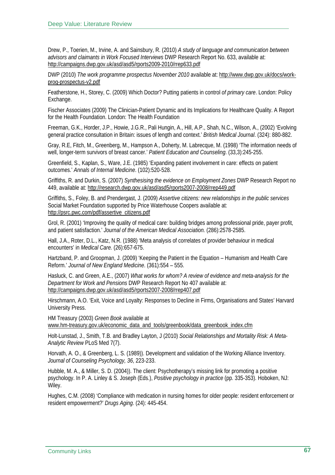Drew, P., Toerien, M., Irvine, A. and Sainsbury, R. (2010) *A study of language and communication between advisors and claimants in Work Focused Interviews* DWP Research Report No. 633, available at: http://campaigns.dwp.gov.uk/asd/asd5/rports2009-2010/rrep633.pdf

DWP (2010) *The work programme prospectus November 2010* available at: http://www.dwp.gov.uk/docs/workprog-prospectus-v2.pdf

Featherstone, H., Storey, C. (2009) Which Doctor? Putting patients in control *of primary care*. London: Policy Exchange.

Fischer Associates (2009) The Clinician-Patient Dynamic and its Implications for Healthcare Quality. A Report for the Health Foundation. London: The Health Foundation

Freeman, G.K., Horder, J.P., Howie, J.G.R., Pali Hungin, A., Hill, A.P., Shah, N.C., Wilson, A., (2002) 'Evolving general practice consultation in Britain: issues of length and context.' *British Medical Journal*. (324): 880-882.

Gray, R.E, Fitch, M., Greenberg, M., Hampson A., Doherty, M. Labrecque, M. (1998) 'The information needs of well, longer-term survivors of breast cancer.' *Patient Education and Counseling*. (33,3):245-255.

Greenfield, S., Kaplan, S., Ware, J.E. (1985) 'Expanding patient involvement in care: effects on patient outcomes.' *Annals of Internal Medicine*. (102):520-528.

Griffiths, R. and Durkin, S. (2007) *Synthesising the evidence on Employment Zones* DWP Research Report no 449, available at: http://research.dwp.gov.uk/asd/asd5/rports2007-2008/rrep449.pdf

Griffiths, S., Foley, B. and Prendergast, J. (2009) *Assertive citizens: new relationships in the public services*  Social Market Foundation supported by Price Waterhouse Coopers available at: http://psrc.pwc.com/pdf/assertive\_citizens.pdf

Grol, R. (2001) 'Improving the quality of medical care: building bridges among professional pride, payer profit, and patient satisfaction.' *Journal of the American Medical Association.* (286):2578-2585.

Hall, J.A., Roter, D.L., Katz, N.R. (1988) 'Meta analysis of correlates of provider behaviour in medical encounters' in *Medical Care.* (26):657-675.

Hartzband, P. and Groopman, J. (2009) 'Keeping the Patient in the Equation – Humanism and Health Care Reform.' *Journal of New England Medicine*. (361):554 – 555.

Hasluck, C. and Green, A.E., (2007) *What works for whom? A review of evidence and meta-analysis for the Department for Work and Pensions* DWP Research Report No 407 available at: http://campaigns.dwp.gov.uk/asd/asd5/rports2007-2008/rrep407.pdf

Hirschmann, A.O. 'Exit, Voice and Loyalty: Responses to Decline in Firms, Organisations and States' Harvard University Press.

HM Treasury (2003) *Green Book* available at www.hm-treasury.gov.uk/economic\_data\_and\_tools/greenbook/data\_greenbook\_index.cfm

Holt-Lunstad, J., Smith, T.B. and Bradley Layton, J (2010) *Social Relationships and Mortality Risk: A Meta-Analytic Review* PLoS Med 7(7).

Horvath, A. O., & Greenberg, L. S. (1989)). Development and validation of the Working Alliance Inventory. *Journal of Counseling Psychology, 36*, 223-233.

Hubble, M. A., & Miller, S. D. (2004)). The client: Psychotherapy's missing link for promoting a positive psychology. In P. A. Linley & S. Joseph (Eds.), *Positive psychology in practice* (pp. 335-353). Hoboken, NJ: Wiley.

Hughes, C.M. (2008) 'Compliance with medication in nursing homes for older people: resident enforcement or resident empowerment?' *Drugs Aging*. (24): 445-454.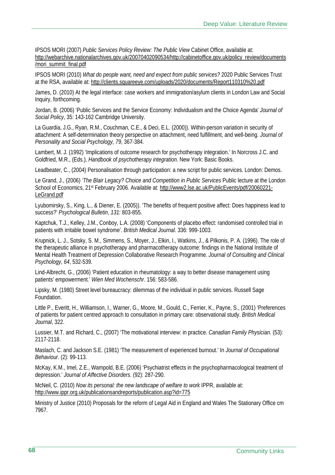IPSOS MORI (2007) *Public Services Policy Review: The Public View* Cabinet Office, available at: http://webarchive.nationalarchives.gov.uk/20070402090534/http://cabinetoffice.gov.uk/policy\_review/documents /mori\_summit\_final.pdf

IPSOS MORI (2010) *What do people want, need and expect from public services?* 2020 Public Services Trust at the RSA, available at: http://clients.squareeye.com/uploads/2020/documents/Report110310%20.pdf

James, D. (2010) At the legal interface: case workers and immigration/asylum clients in London Law and Social Inquiry, forthcoming.

Jordan, B. (2006) 'Public Services and the Service Economy: Individualism and the Choice Agenda' *Journal of Social Policy*, 35: 143-162 Cambridge University.

La Guardia, J.G., Ryan, R.M., Couchman, C.E., & Deci, E.L. (2000)). Within-person variation in security of attachment: A self-determination theory perspective on attachment, need fulfillment, and well-being. *Journal of Personality and Social Psychology, 79*, 367-384.

Lambert, M. J. (1992) 'Implications of outcome research for psychotherapy integration.' In Norcross J.C. and Goldfried, M.R., (Eds.), *Handbook of psychotherapy integration*. New York: Basic Books.

Leadbeater, C., (2004) Personalisation through participation: a new script for public services. London: Demos.

Le Grand, J., (2006) *'The Blair Legacy? Choice and Competition in Public Services* Public lecture at the London School of Economics, 21st February 2006. Available at: http://www2.lse.ac.uk/PublicEvents/pdf/20060221-LeGrand.pdf

Lyubomirsky, S., King, L., & Diener, E. (2005)). 'The benefits of frequent positive affect: Does happiness lead to success?' *Psychological Bulletin*, *131*: 803-855.

Kaptchuk, T.J., Kelley, J.M., Conboy, L.A. (2008) 'Components of placebo effect: randomised controlled trial in patients with irritable bowel syndrome'. *British Medical Journal*. 336: 999-1003.

Krupnick, L. J., Sotsky, S. M., Simmens, S., Moyer, J., Elkin, I., Watkins, J., & Pilkonis, P. A. (1996). The role of the therapeutic alliance in psychotherapy and pharmacotherapy outcome: findings in the National Institute of Mental Health Treatment of Depression Collaborative Research Programme. *Journal of Consulting and Clinical Psychology, 64*, 532-539.

Lind-Albrecht, G., (2006) 'Patient education in rheumatology: a way to better disease management using patients' empowerment.' *Wien Med Wochenschr*. 156: 583-586.

Lipsky, M. (1980) Street level bureaucracy: dilemmas of the individual in public services. Russell Sage Foundation.

Little P., Everitt, H., Williamson, I., Warner, G., Moore, M., Gould, C., Ferrier, K., Payne, S., (2001) 'Preferences of patients for patient centred approach to consultation in primary care: observational study. *British Medical Journal*, 322.

Lussier, M.T. and Richard, C., (2007) 'The motivational interview: in practice. *Canadian Family Physician*. (53): 2117-2118.

Maslach, C. and Jackson S.E. (1981) 'The measurement of experienced burnout.' In *Journal of Occupational Behaviour*. (2): 99-113.

McKay, K.M., Imel, Z.E., Wampold, B.E. (2006) 'Psychiatrist effects in the psychopharmacological treatment of depression.' *Journal of Affective Disorders*. (92): 287-290.

McNeil, C. (2010) *Now its personal: the new landscape of welfare to work* IPPR, available at: http://www.ippr.org.uk/publicationsandreports/publication.asp?id=775

Ministry of Justice (2010) Proposals for the reform of Legal Aid in England and Wales The Stationary Office cm 7967.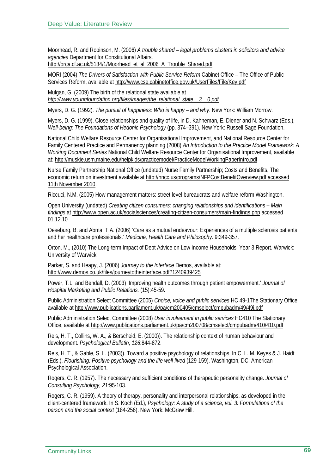Moorhead, R. and Robinson, M. (2006) *A trouble shared – legal problems clusters in solicitors and advice agencies* Department for Constitutional Affairs.

http://orca.cf.ac.uk/5184/1/Moorhead\_et\_al\_2006\_A\_Trouble\_Shared.pdf

MORI (2004) *The Drivers of Satisfaction with Public Service Reform* Cabinet Office – The Office of Public Services Reform, available at http://www.cse.cabinetoffice.gov.uk/UserFiles/File/Key.pdf

Mulgan, G. (2009) The birth of the relational state available at *http://www.youngfoundation.org/files/images/the\_relational\_state\_\_3\_\_0.pdf*

Myers, D. G. (1992). *The pursuit of happiness: Who is happy – and why*. New York: William Morrow.

Myers, D. G. (1999). Close relationships and quality of life, in D. Kahneman, E. Diener and N. Schwarz (Eds.), *Well-being: The Foundations of Hedonic Psychology* (pp. 374–391). New York: Russell Sage Foundation.

National Child Welfare Resource Center for Organisational Improvement, and National Resource Center for Family Centered Practice and Permanency planning (2008) *An Introduction to the Practice Model Framework: A Working Document Series* National Child Welfare Resource Center for Organisational Improvement, available at: http://muskie.usm.maine.edu/helpkids/practicemodel/PracticeModelWorkingPaperIntro.pdf

Nurse Family Partnership National Office (undated) Nurse Family Partnership; Costs and Benefits, The economic return on investment available at http://nncc.us/programs/NFPCostBenefitOverview.pdf accessed 11th November 2010.

Riccuci, N.M. (2005) How management matters: street level bureaucrats and welfare reform Washington.

Open University (undated) *Creating citizen consumers: changing relationships and identifications – Main findings* at http://www.open.ac.uk/socialsciences/creating-citizen-consumers/main-findings.php accessed 01.12.10

Oeseburg, B. and Abma, T.A. (2006) 'Care as a mutual endeavour: Experiences of a multiple sclerosis patients and her healthcare professionals.' *Medicine, Health Care and Philosophy*. 9:349-357.

Orton, M., (2010) The Long-term Impact of Debt Advice on Low Income Households: Year 3 Report. Warwick: University of Warwick

Parker, S. and Heapy, J. (2006) *Journey to the Interface* Demos, available at: http://www.demos.co.uk/files/journeytotheinterface.pdf?1240939425

Power, T.L. and Bendall, D. (2003) 'Improving health outcomes through patient empowerment.' *Journal of Hospital Marketing and Public Relations.* (15):45-59.

Public Administration Select Committee (2005) *Choice, voice and public services* HC 49-1The Stationary Office, available at http://www.publications.parliament.uk/pa/cm200405/cmselect/cmpubadm/49/49i.pdf

Public Administration Select Committee (2008) *User involvement in public services* HC410 The Stationary Office, available at http://www.publications.parliament.uk/pa/cm200708/cmselect/cmpubadm/410/410.pdf

Reis, H. T., Collins, W. A., & Berscheid, E. (2000)). The relationship context of human behaviour and development. *Psychological Bulletin, 126*:844-872.

Reis, H. T., & Gable, S. L. (2003)). Toward a positive psychology of relationships. In C. L. M. Keyes & J. Haidt (Eds.), *Flourishing: Positive psychology and the life well-lived* (129-159). Washington, DC: American Psychological Association.

Rogers, C. R. (1957). The necessary and sufficient conditions of therapeutic personality change. *Journal of Consulting Psychology, 21*:95-103.

Rogers, C. R. (1959). A theory of therapy, personality and interpersonal relationships, as developed in the client-centered framework. In S. Koch (Ed.), *Psychology: A study of a science, vol. 3: Formulations of the person and the social context* (184-256). New York: McGraw Hill.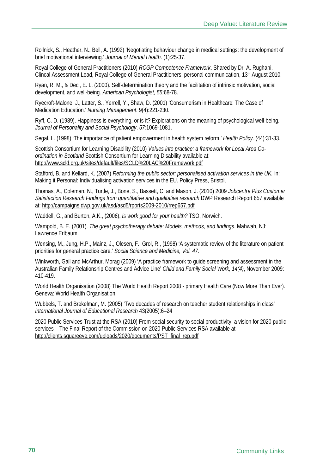Rollnick, S., Heather, N., Bell, A. (1992) 'Negotiating behaviour change in medical settings: the development of brief motivational interviewing.' *Journal of Mental Health*. (1):25-37.

Royal College of General Practitioners (2010) *RCGP Competence Framework*. Shared by Dr. A. Rughani, Clincal Assessment Lead, Royal College of General Practitioners, personal communication, 13th August 2010.

Ryan, R. M., & Deci, E. L. (2000). Self-determination theory and the facilitation of intrinsic motivation, social development, and well-being. *American Psychologist, 55:*68-78.

Ryecroft-Malone, J., Latter, S., Yerrell, Y., Shaw, D. (2001) 'Consumerism in Healthcare: The Case of Medication Education.' *Nursing Management*. 9(4):221-230.

Ryff, C. D. (1989). Happiness is everything, or is it? Explorations on the meaning of psychological well-being. *Journal of Personality and Social Psychology*, *57:*1069-1081.

Segal, L. (1998) 'The importance of patient empowerment in health system reform.' *Health Policy*. (44):31-33.

Scottish Consortium for Learning Disability (2010) *Values into practice: a framework for Local Area Coordination in Scotland* Scottish Consortium for Learning Disability available at: http://www.scld.org.uk/sites/default/files/SCLD%20LAC%20Framework.pdf

Stafford, B. and Kellard, K. (2007) *Reforming the public sector: personalised activation services in the UK.* In: Making it Personal: Individualising activation services in the EU. Policy Press, Bristol,

Thomas, A., Coleman, N., Turtle, J., Bone, S., Bassett, C. and Mason, J. (2010) 2009 *Jobcentre Plus Customer Satisfaction Research Findings from quantitative and qualitative research* DWP Research Report 657 available at: http://campaigns.dwp.gov.uk/asd/asd5/rports2009-2010/rrep657.pdf

Waddell, G., and Burton, A.K., (2006), *Is work good for your health?* TSO, Norwich.

Wampold, B. E. (2001). *The great psychotherapy debate: Models, methods, and findings*. Mahwah, NJ: Lawrence Erlbaum.

Wensing, M., Jung, H.P., Mainz, J., Olesen, F., Grol, R., (1998) 'A systematic review of the literature on patient priorities for general practice care.' *Social Science and Medicine, Vol. 47.*

Winkworth, Gail and McArthur, Morag (2009) 'A practice framework to guide screening and assessment in the Australian Family Relationship Centres and Advice Line' *Child and Family Social Work, 14(4)*, November 2009: 410-419.

World Health Organisation (2008) The World Health Report 2008 - primary Health Care (Now More Than Ever). Geneva: World Health Organisation.

Wubbels, T. and Brekelman, M. (2005) 'Two decades of research on teacher student relationships in class' *International Journal of Educational Research* 43(2005):6–24

2020 Public Services Trust at the RSA (2010) From social security to social productivity: a vision for 2020 public services – The Final Report of the Commission on 2020 Public Services RSA available at http://clients.squareeye.com/uploads/2020/documents/PST\_final\_rep.pdf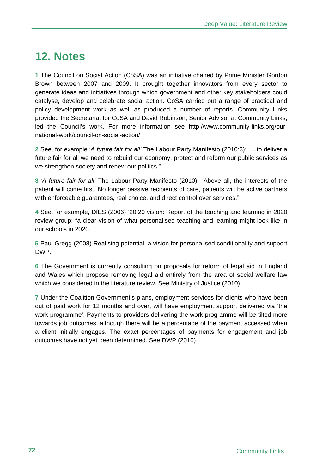## **12. Notes**

 **1** The Council on Social Action (CoSA) was an initiative chaired by Prime Minister Gordon Brown between 2007 and 2009. It brought together innovators from every sector to generate ideas and initiatives through which government and other key stakeholders could catalyse, develop and celebrate social action. CoSA carried out a range of practical and policy development work as well as produced a number of reports. Community Links provided the Secretariat for CoSA and David Robinson, Senior Advisor at Community Links, led the Council's work. For more information see http://www.community-links.org/ournational-work/council-on-social-action/

**2** See, for example '*A future fair for all'* The Labour Party Manifesto (2010:3): "…to deliver a future fair for all we need to rebuild our economy, protect and reform our public services as we strengthen society and renew our politics."

**3** '*A future fair for all'* The Labour Party Manifesto (2010): "Above all, the interests of the patient will come first. No longer passive recipients of care, patients will be active partners with enforceable guarantees, real choice, and direct control over services."

**4** See, for example, DfES (2006) '20:20 vision: Report of the teaching and learning in 2020 review group: "a clear vision of what personalised teaching and learning might look like in our schools in 2020."

**5** Paul Gregg (2008) Realising potential: a vision for personalised conditionality and support DWP.

**6** The Government is currently consulting on proposals for reform of legal aid in England and Wales which propose removing legal aid entirely from the area of social welfare law which we considered in the literature review. See Ministry of Justice (2010).

**7** Under the Coalition Government's plans, employment services for clients who have been out of paid work for 12 months and over, will have employment support delivered via 'the work programme'. Payments to providers delivering the work programme will be tilted more towards job outcomes, although there will be a percentage of the payment accessed when a client initially engages. The exact percentages of payments for engagement and job outcomes have not yet been determined. See DWP (2010).